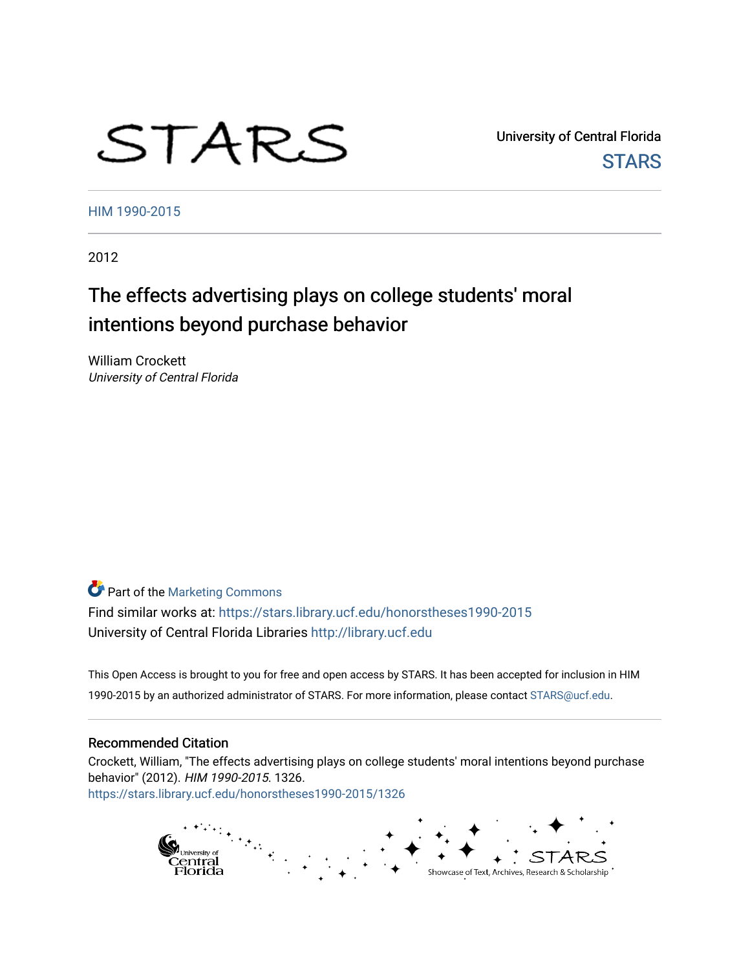# STARS

University of Central Florida **STARS** 

[HIM 1990-2015](https://stars.library.ucf.edu/honorstheses1990-2015) 

2012

# The effects advertising plays on college students' moral intentions beyond purchase behavior

William Crockett University of Central Florida

**Part of the [Marketing Commons](http://network.bepress.com/hgg/discipline/638?utm_source=stars.library.ucf.edu%2Fhonorstheses1990-2015%2F1326&utm_medium=PDF&utm_campaign=PDFCoverPages)** Find similar works at: <https://stars.library.ucf.edu/honorstheses1990-2015> University of Central Florida Libraries [http://library.ucf.edu](http://library.ucf.edu/) 

This Open Access is brought to you for free and open access by STARS. It has been accepted for inclusion in HIM 1990-2015 by an authorized administrator of STARS. For more information, please contact [STARS@ucf.edu](mailto:STARS@ucf.edu).

#### Recommended Citation

Crockett, William, "The effects advertising plays on college students' moral intentions beyond purchase behavior" (2012). HIM 1990-2015. 1326. [https://stars.library.ucf.edu/honorstheses1990-2015/1326](https://stars.library.ucf.edu/honorstheses1990-2015/1326?utm_source=stars.library.ucf.edu%2Fhonorstheses1990-2015%2F1326&utm_medium=PDF&utm_campaign=PDFCoverPages) 

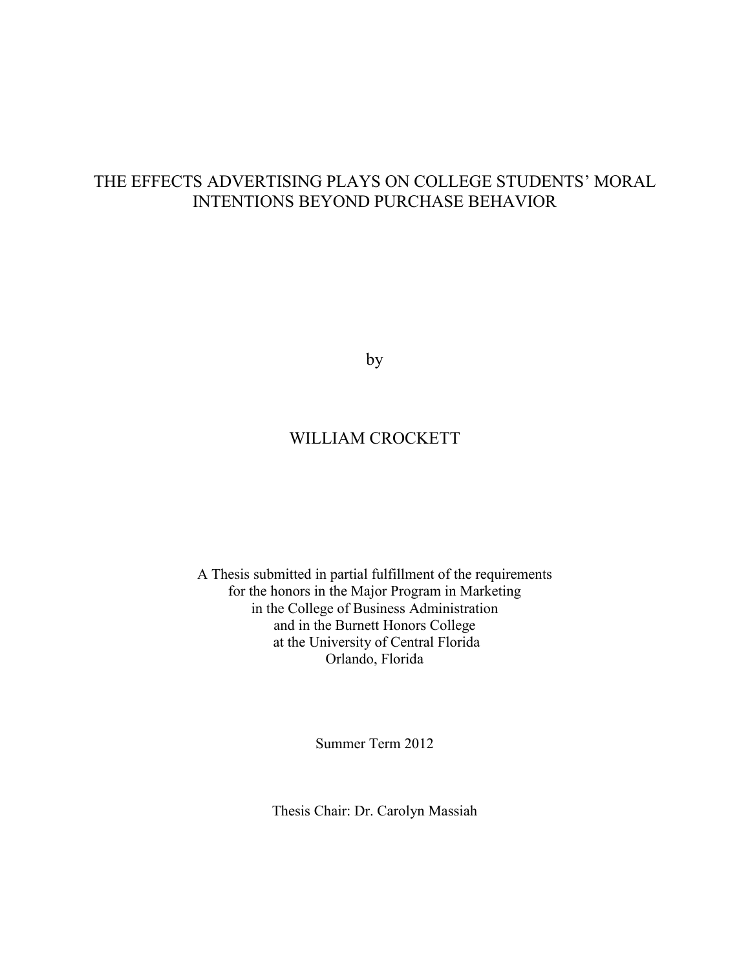# THE EFFECTS ADVERTISING PLAYS ON COLLEGE STUDENTS' MORAL INTENTIONS BEYOND PURCHASE BEHAVIOR

by

# WILLIAM CROCKETT

A Thesis submitted in partial fulfillment of the requirements for the honors in the Major Program in Marketing in the College of Business Administration and in the Burnett Honors College at the University of Central Florida Orlando, Florida

Summer Term 2012

Thesis Chair: Dr. Carolyn Massiah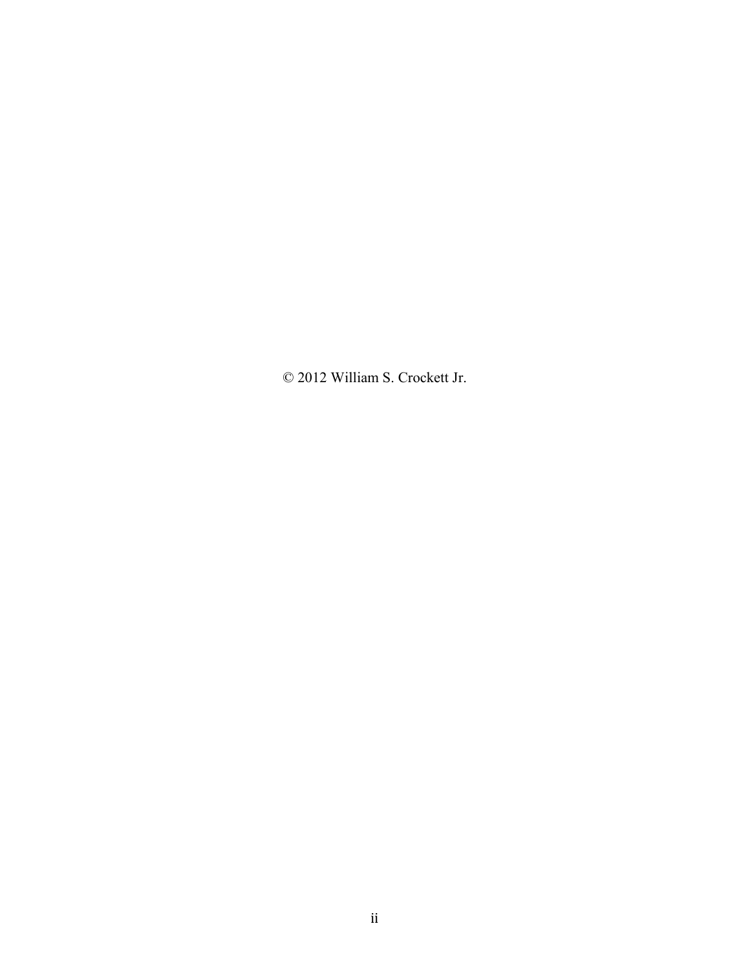© 2012 William S. Crockett Jr.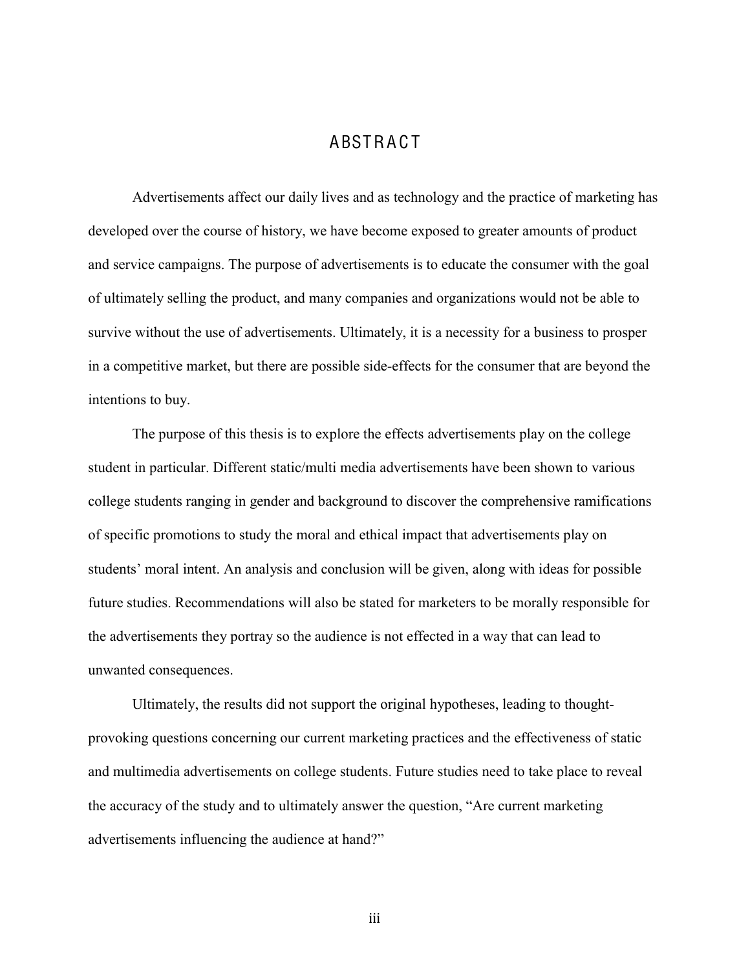# **ABSTRACT**

Advertisements affect our daily lives and as technology and the practice of marketing has developed over the course of history, we have become exposed to greater amounts of product and service campaigns. The purpose of advertisements is to educate the consumer with the goal of ultimately selling the product, and many companies and organizations would not be able to survive without the use of advertisements. Ultimately, it is a necessity for a business to prosper in a competitive market, but there are possible side-effects for the consumer that are beyond the intentions to buy.

The purpose of this thesis is to explore the effects advertisements play on the college student in particular. Different static/multi media advertisements have been shown to various college students ranging in gender and background to discover the comprehensive ramifications of specific promotions to study the moral and ethical impact that advertisements play on students' moral intent. An analysis and conclusion will be given, along with ideas for possible future studies. Recommendations will also be stated for marketers to be morally responsible for the advertisements they portray so the audience is not effected in a way that can lead to unwanted consequences.

Ultimately, the results did not support the original hypotheses, leading to thoughtprovoking questions concerning our current marketing practices and the effectiveness of static and multimedia advertisements on college students. Future studies need to take place to reveal the accuracy of the study and to ultimately answer the question, "Are current marketing advertisements influencing the audience at hand?"

iii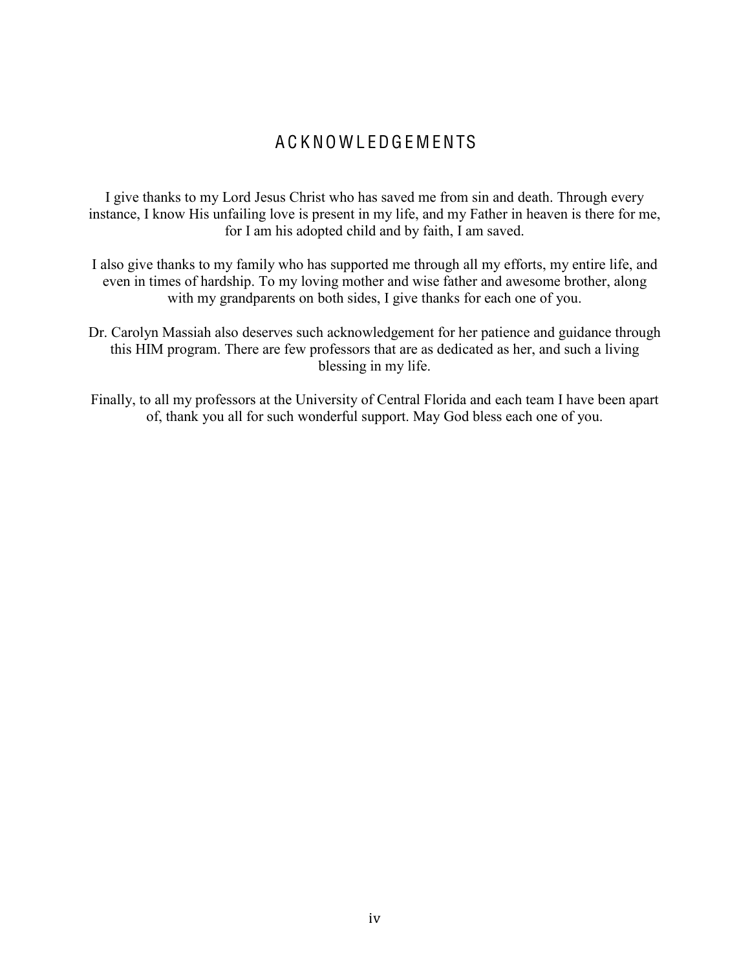# A C K NO W L EDG E M ENTS

I give thanks to my Lord Jesus Christ who has saved me from sin and death. Through every instance, I know His unfailing love is present in my life, and my Father in heaven is there for me, for I am his adopted child and by faith, I am saved.

- I also give thanks to my family who has supported me through all my efforts, my entire life, and even in times of hardship. To my loving mother and wise father and awesome brother, along with my grandparents on both sides, I give thanks for each one of you.
- Dr. Carolyn Massiah also deserves such acknowledgement for her patience and guidance through this HIM program. There are few professors that are as dedicated as her, and such a living blessing in my life.
- Finally, to all my professors at the University of Central Florida and each team I have been apart of, thank you all for such wonderful support. May God bless each one of you.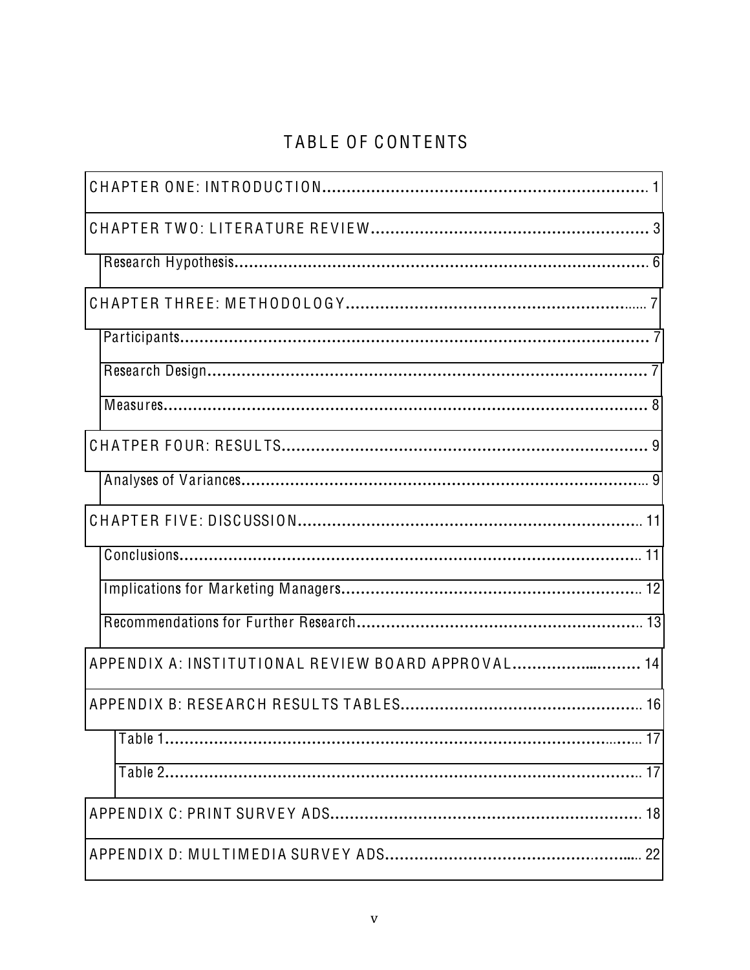# TABLE OF CONTENTS

| APPENDIX A: INSTITUTIONAL REVIEW BOARD APPROVAL 14 |
|----------------------------------------------------|
|                                                    |
|                                                    |
|                                                    |
|                                                    |
|                                                    |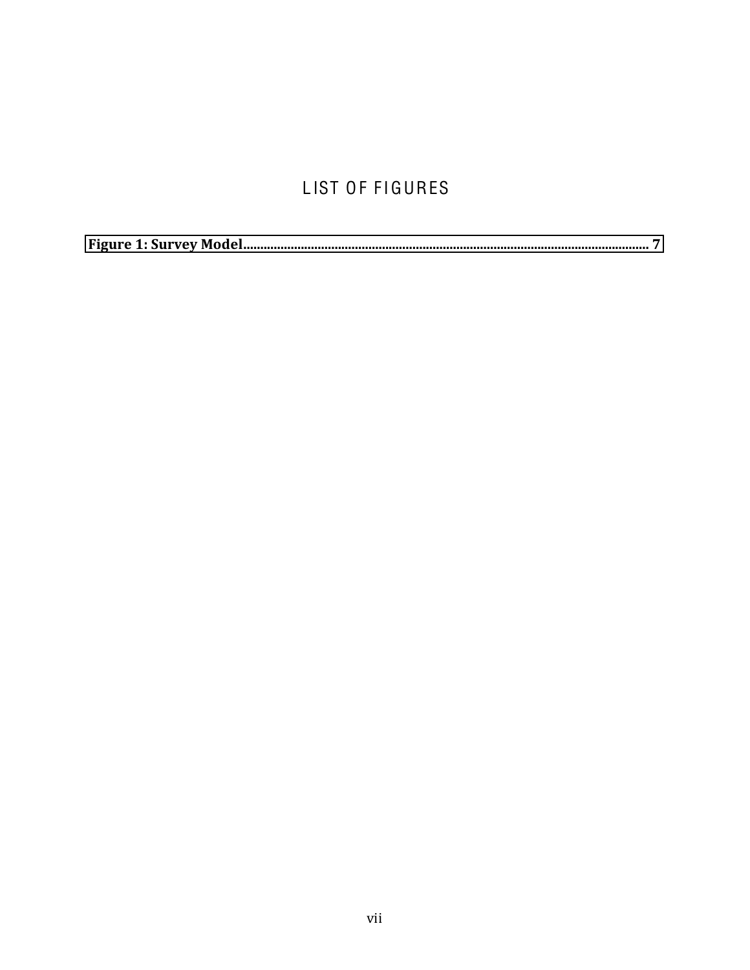# LIST OF FIGURES

|--|--|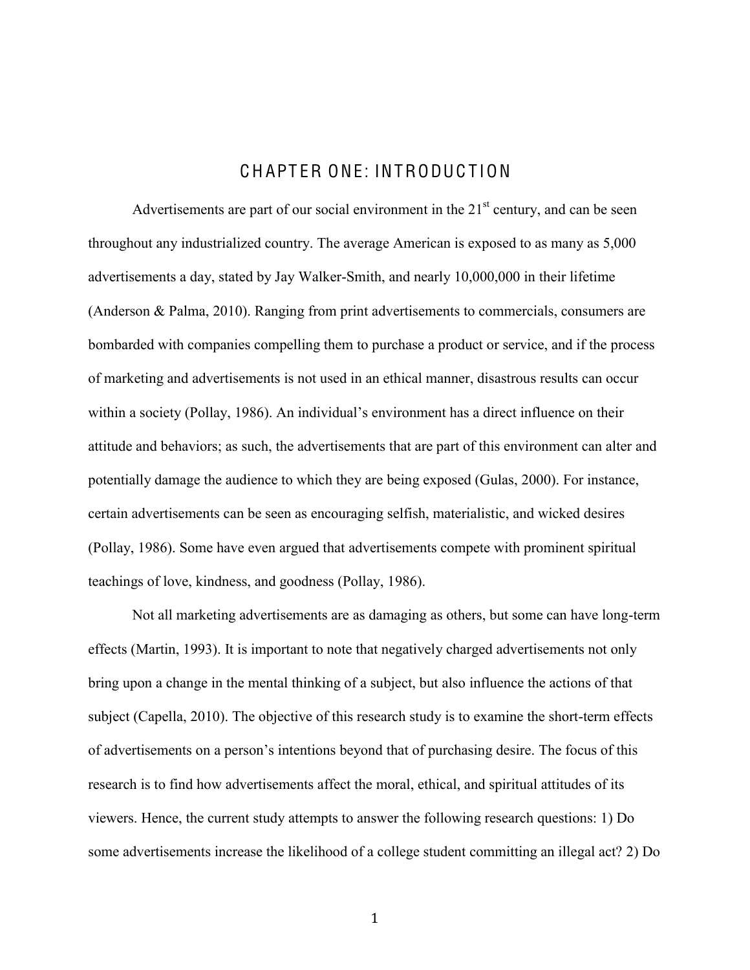# C H APT ER ONE: INTRODUC T ION

<span id="page-8-0"></span>Advertisements are part of our social environment in the  $21<sup>st</sup>$  century, and can be seen throughout any industrialized country. The average American is exposed to as many as 5,000 advertisements a day, stated by Jay Walker-Smith, and nearly 10,000,000 in their lifetime (Anderson & Palma, 2010). Ranging from print advertisements to commercials, consumers are bombarded with companies compelling them to purchase a product or service, and if the process of marketing and advertisements is not used in an ethical manner, disastrous results can occur within a society (Pollay, 1986). An individual's environment has a direct influence on their attitude and behaviors; as such, the advertisements that are part of this environment can alter and potentially damage the audience to which they are being exposed (Gulas, 2000). For instance, certain advertisements can be seen as encouraging selfish, materialistic, and wicked desires (Pollay, 1986). Some have even argued that advertisements compete with prominent spiritual teachings of love, kindness, and goodness (Pollay, 1986).

Not all marketing advertisements are as damaging as others, but some can have long-term effects (Martin, 1993). It is important to note that negatively charged advertisements not only bring upon a change in the mental thinking of a subject, but also influence the actions of that subject (Capella, 2010). The objective of this research study is to examine the short-term effects of advertisements on a person's intentions beyond that of purchasing desire. The focus of this research is to find how advertisements affect the moral, ethical, and spiritual attitudes of its viewers. Hence, the current study attempts to answer the following research questions: 1) Do some advertisements increase the likelihood of a college student committing an illegal act? 2) Do

\$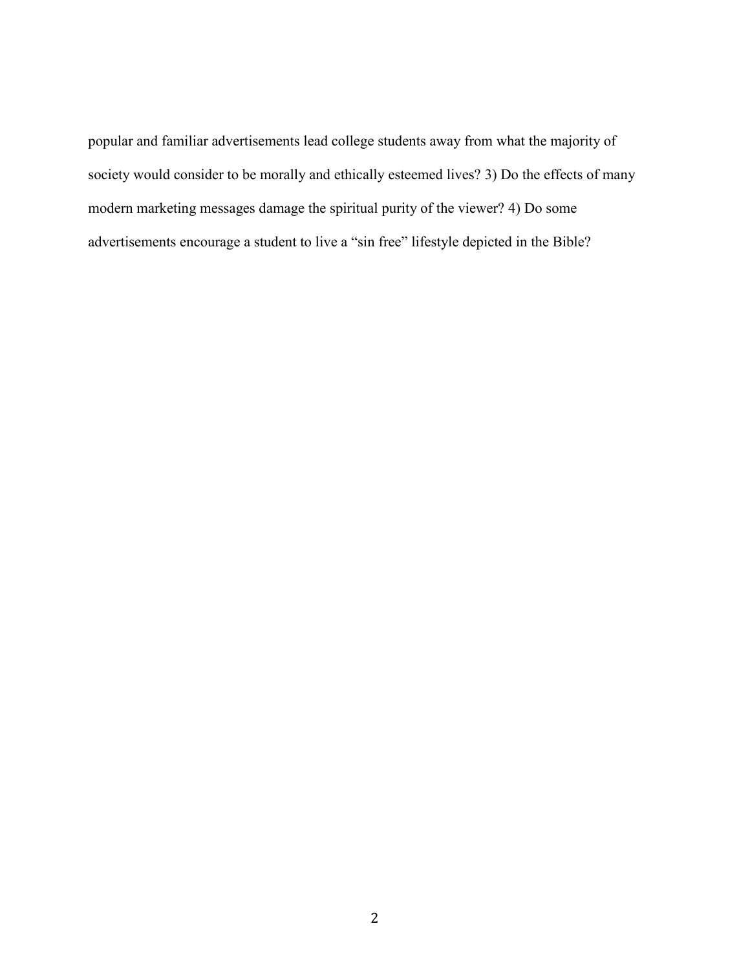popular and familiar advertisements lead college students away from what the majority of society would consider to be morally and ethically esteemed lives? 3) Do the effects of many modern marketing messages damage the spiritual purity of the viewer? 4) Do some advertisements encourage a student to live a "sin free" lifestyle depicted in the Bible?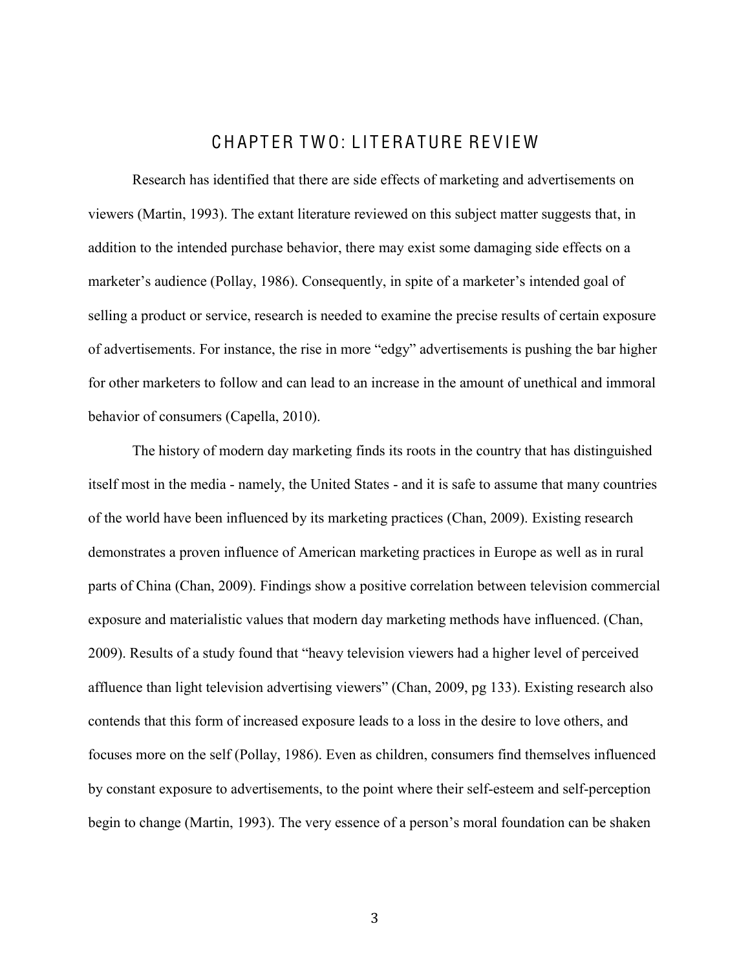# C H APT ER T W O: L I T ERA TURE RE VI E W

<span id="page-10-0"></span>Research has identified that there are side effects of marketing and advertisements on viewers (Martin, 1993). The extant literature reviewed on this subject matter suggests that, in addition to the intended purchase behavior, there may exist some damaging side effects on a marketer's audience (Pollay, 1986). Consequently, in spite of a marketer's intended goal of selling a product or service, research is needed to examine the precise results of certain exposure of advertisements. For instance, the rise in more "edgy" advertisements is pushing the bar higher for other marketers to follow and can lead to an increase in the amount of unethical and immoral behavior of consumers (Capella, 2010).

The history of modern day marketing finds its roots in the country that has distinguished itself most in the media - namely, the United States - and it is safe to assume that many countries of the world have been influenced by its marketing practices (Chan, 2009). Existing research demonstrates a proven influence of American marketing practices in Europe as well as in rural parts of China (Chan, 2009). Findings show a positive correlation between television commercial exposure and materialistic values that modern day marketing methods have influenced. (Chan, 2009). Results of a study found that "heavy television viewers had a higher level of perceived affluence than light television advertising viewers" (Chan, 2009, pg 133). Existing research also contends that this form of increased exposure leads to a loss in the desire to love others, and focuses more on the self (Pollay, 1986). Even as children, consumers find themselves influenced by constant exposure to advertisements, to the point where their self-esteem and self-perception begin to change (Martin, 1993). The very essence of a person's moral foundation can be shaken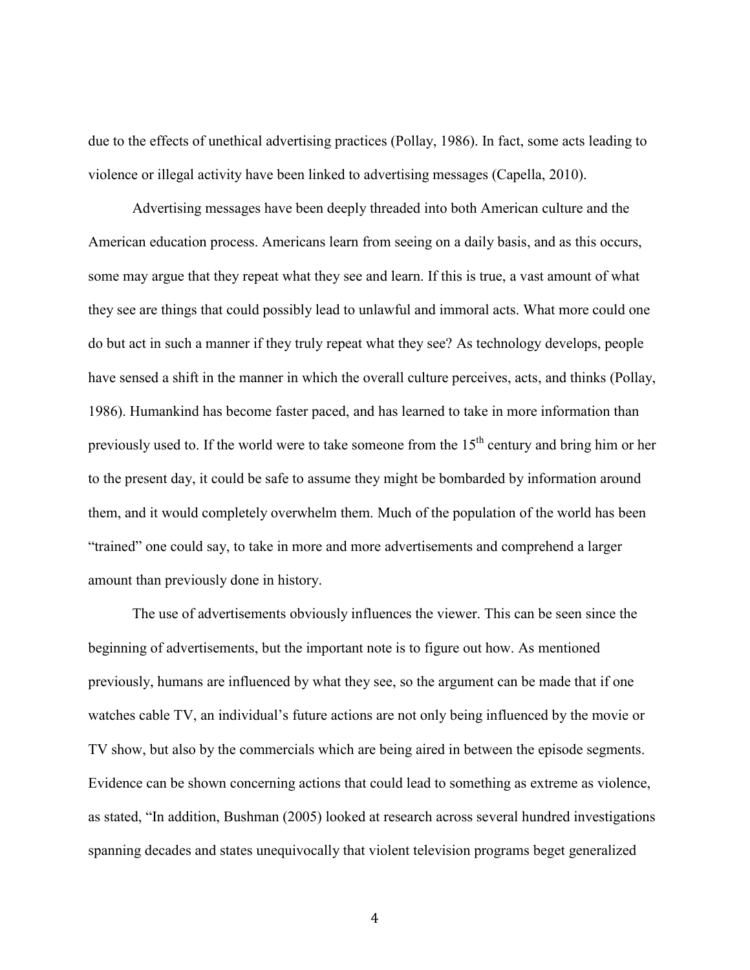due to the effects of unethical advertising practices (Pollay, 1986). In fact, some acts leading to violence or illegal activity have been linked to advertising messages (Capella, 2010).

Advertising messages have been deeply threaded into both American culture and the American education process. Americans learn from seeing on a daily basis, and as this occurs, some may argue that they repeat what they see and learn. If this is true, a vast amount of what they see are things that could possibly lead to unlawful and immoral acts. What more could one do but act in such a manner if they truly repeat what they see? As technology develops, people have sensed a shift in the manner in which the overall culture perceives, acts, and thinks (Pollay, 1986). Humankind has become faster paced, and has learned to take in more information than previously used to. If the world were to take someone from the  $15<sup>th</sup>$  century and bring him or her to the present day, it could be safe to assume they might be bombarded by information around them, and it would completely overwhelm them. Much of the population of the world has been "trained" one could say, to take in more and more advertisements and comprehend a larger amount than previously done in history.

The use of advertisements obviously influences the viewer. This can be seen since the beginning of advertisements, but the important note is to figure out how. As mentioned previously, humans are influenced by what they see, so the argument can be made that if one watches cable TV, an individual's future actions are not only being influenced by the movie or TV show, but also by the commercials which are being aired in between the episode segments. Evidence can be shown concerning actions that could lead to something as extreme as violence, as stated, "In addition, Bushman (2005) looked at research across several hundred investigations spanning decades and states unequivocally that violent television programs beget generalized

 $\overline{4}$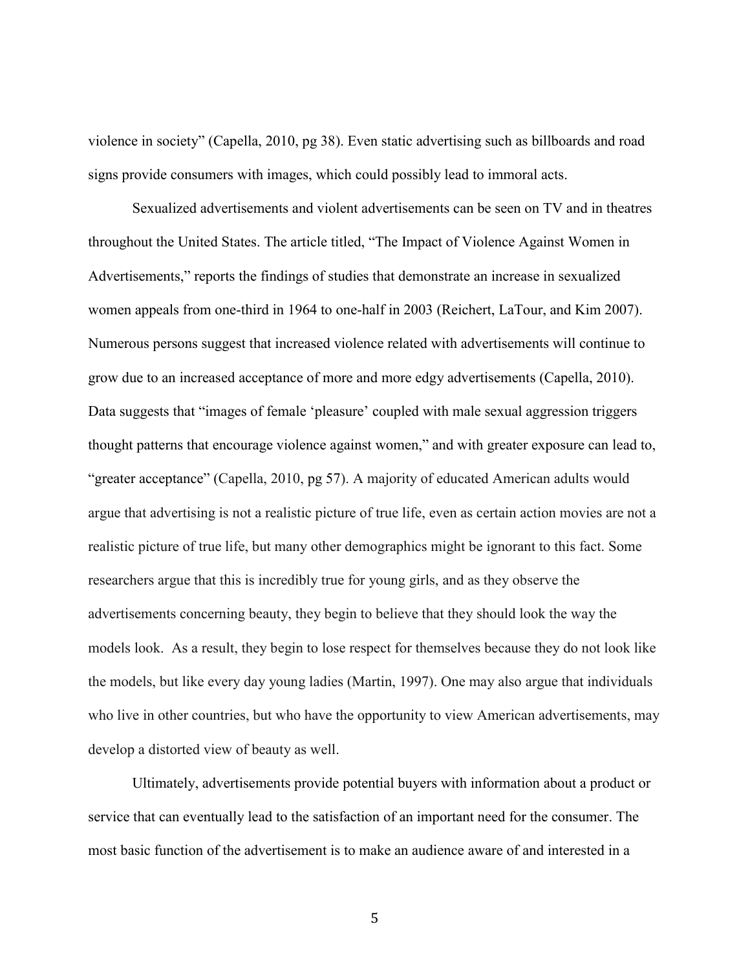violence in society" (Capella, 2010, pg 38). Even static advertising such as billboards and road signs provide consumers with images, which could possibly lead to immoral acts.

Sexualized advertisements and violent advertisements can be seen on TV and in theatres throughout the United States. The article titled, "The Impact of Violence Against Women in Advertisements," reports the findings of studies that demonstrate an increase in sexualized women appeals from one-third in 1964 to one-half in 2003 (Reichert, LaTour, and Kim 2007). Numerous persons suggest that increased violence related with advertisements will continue to grow due to an increased acceptance of more and more edgy advertisements (Capella, 2010). Data suggests that "images of female "pleasure" coupled with male sexual aggression triggers thought patterns that encourage violence against women," and with greater exposure can lead to, "greater acceptance" (Capella, 2010, pg 57). A majority of educated American adults would argue that advertising is not a realistic picture of true life, even as certain action movies are not a realistic picture of true life, but many other demographics might be ignorant to this fact. Some researchers argue that this is incredibly true for young girls, and as they observe the advertisements concerning beauty, they begin to believe that they should look the way the models look. As a result, they begin to lose respect for themselves because they do not look like the models, but like every day young ladies (Martin, 1997). One may also argue that individuals who live in other countries, but who have the opportunity to view American advertisements, may develop a distorted view of beauty as well.

Ultimately, advertisements provide potential buyers with information about a product or service that can eventually lead to the satisfaction of an important need for the consumer. The most basic function of the advertisement is to make an audience aware of and interested in a

(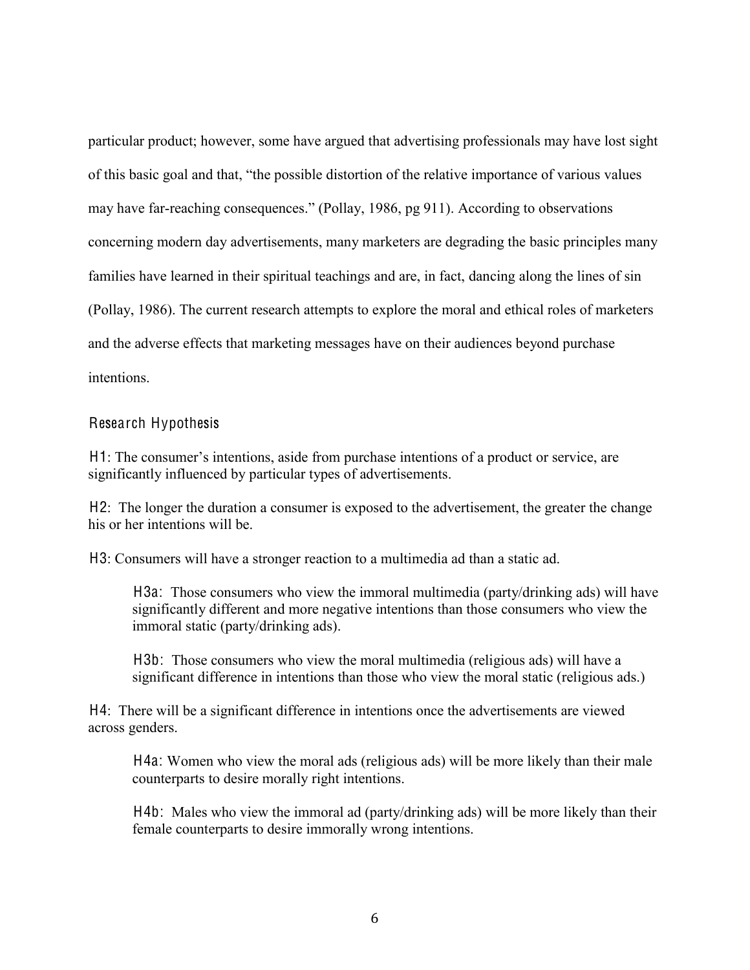particular product; however, some have argued that advertising professionals may have lost sight of this basic goal and that, "the possible distortion of the relative importance of various values may have far-reaching consequences." (Pollay, 1986, pg 911). According to observations concerning modern day advertisements, many marketers are degrading the basic principles many families have learned in their spiritual teachings and are, in fact, dancing along the lines of sin (Pollay, 1986). The current research attempts to explore the moral and ethical roles of marketers and the adverse effects that marketing messages have on their audiences beyond purchase intentions.

#### <span id="page-13-0"></span>Research Hypothesis

H1: The consumer's intentions, aside from purchase intentions of a product or service, are significantly influenced by particular types of advertisements.

H2: The longer the duration a consumer is exposed to the advertisement, the greater the change his or her intentions will be.

H3: Consumers will have a stronger reaction to a multimedia ad than a static ad.

H3a: Those consumers who view the immoral multimedia (party/drinking ads) will have significantly different and more negative intentions than those consumers who view the immoral static (party/drinking ads).

H3b: Those consumers who view the moral multimedia (religious ads) will have a significant difference in intentions than those who view the moral static (religious ads.)

H4: There will be a significant difference in intentions once the advertisements are viewed across genders.

H4a: Women who view the moral ads (religious ads) will be more likely than their male counterparts to desire morally right intentions.

H4b: Males who view the immoral ad (party/drinking ads) will be more likely than their female counterparts to desire immorally wrong intentions.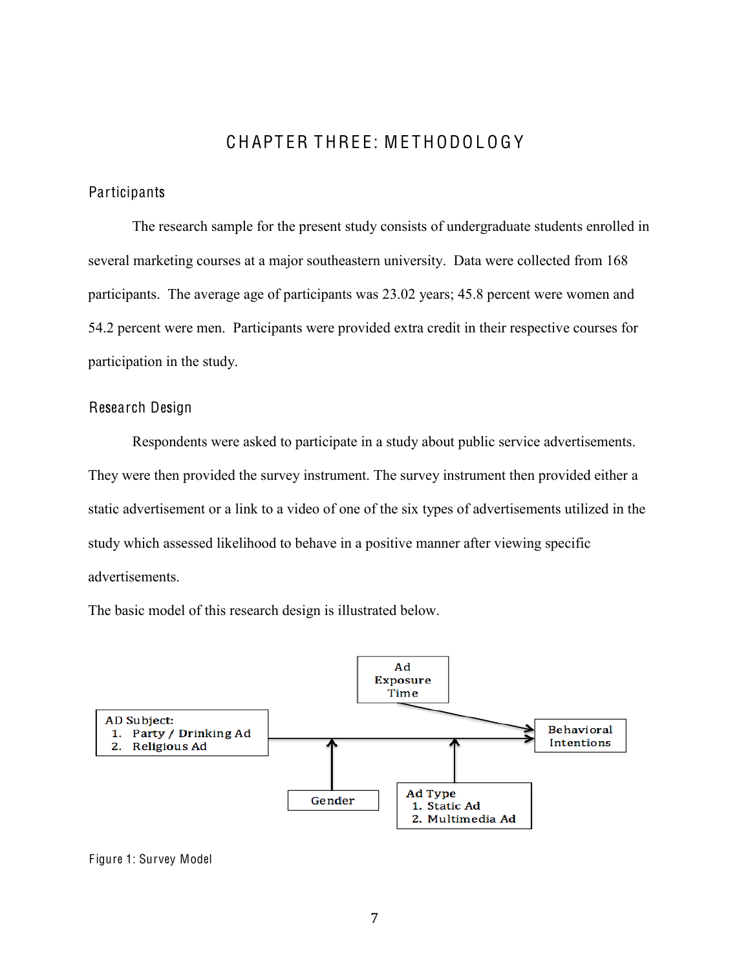# C H APT ER T HRE E: M E T H ODO L O G Y

#### <span id="page-14-1"></span><span id="page-14-0"></span>**Participants**

The research sample for the present study consists of undergraduate students enrolled in several marketing courses at a major southeastern university. Data were collected from 168 participants. The average age of participants was 23.02 years; 45.8 percent were women and 54.2 percent were men. Participants were provided extra credit in their respective courses for participation in the study.

#### <span id="page-14-2"></span>Research Design

Respondents were asked to participate in a study about public service advertisements. They were then provided the survey instrument. The survey instrument then provided either a static advertisement or a link to a video of one of the six types of advertisements utilized in the study which assessed likelihood to behave in a positive manner after viewing specific advertisements.

The basic model of this research design is illustrated below.

<span id="page-14-3"></span>

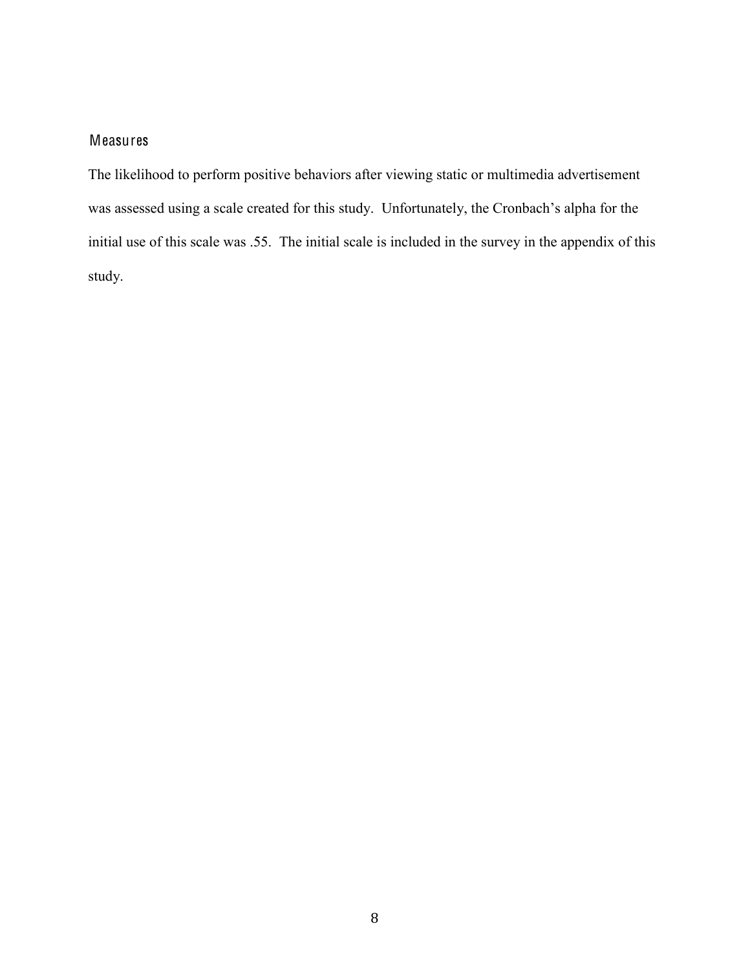## <span id="page-15-0"></span>Measures

The likelihood to perform positive behaviors after viewing static or multimedia advertisement was assessed using a scale created for this study. Unfortunately, the Cronbach's alpha for the initial use of this scale was .55. The initial scale is included in the survey in the appendix of this study.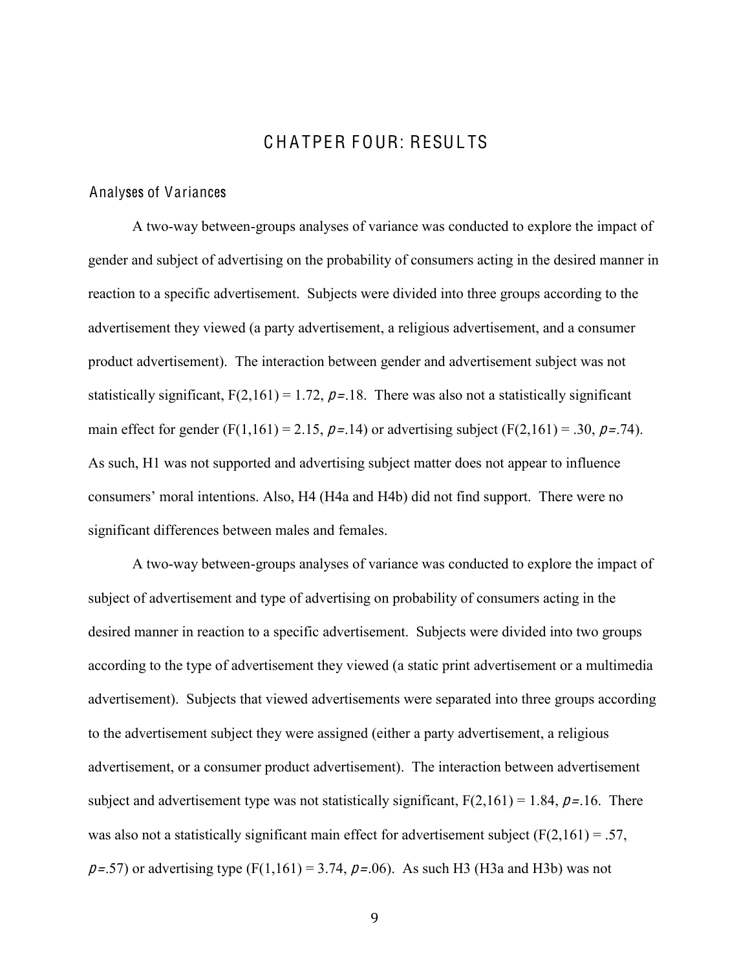# CHATPER FOUR: RESULTS

#### <span id="page-16-1"></span><span id="page-16-0"></span>Analyses of Variances

A two-way between-groups analyses of variance was conducted to explore the impact of gender and subject of advertising on the probability of consumers acting in the desired manner in reaction to a specific advertisement. Subjects were divided into three groups according to the advertisement they viewed (a party advertisement, a religious advertisement, and a consumer product advertisement). The interaction between gender and advertisement subject was not statistically significant,  $F(2,161) = 1.72$ ,  $p = .18$ . There was also not a statistically significant main effect for gender (F(1,161) = 2.15,  $p = .14$ ) or advertising subject (F(2,161) = .30,  $p = .74$ ). As such, H1 was not supported and advertising subject matter does not appear to influence consumers' moral intentions. Also, H4 (H4a and H4b) did not find support. There were no significant differences between males and females.

A two-way between-groups analyses of variance was conducted to explore the impact of subject of advertisement and type of advertising on probability of consumers acting in the desired manner in reaction to a specific advertisement. Subjects were divided into two groups according to the type of advertisement they viewed (a static print advertisement or a multimedia advertisement). Subjects that viewed advertisements were separated into three groups according to the advertisement subject they were assigned (either a party advertisement, a religious advertisement, or a consumer product advertisement). The interaction between advertisement subject and advertisement type was not statistically significant,  $F(2,161) = 1.84$ ,  $p = 16$ . There was also not a statistically significant main effect for advertisement subject  $(F(2,161) = .57)$ ,  $p=.57$ ) or advertising type (F(1,161) = 3.74,  $p=.06$ ). As such H3 (H3a and H3b) was not

,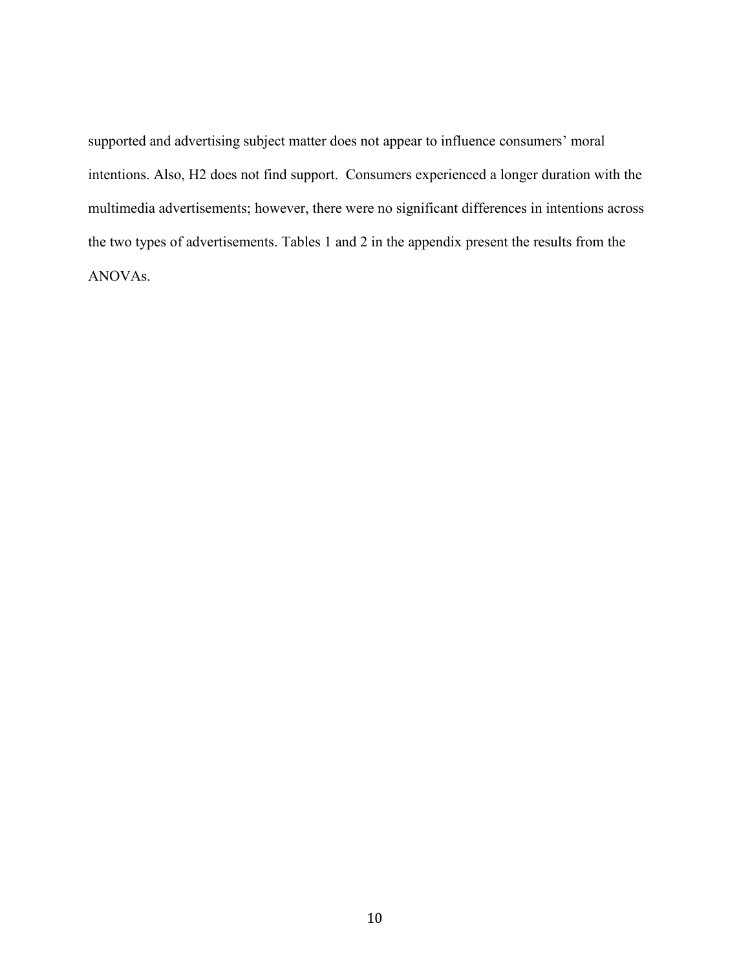supported and advertising subject matter does not appear to influence consumers' moral intentions. Also, H2 does not find support. Consumers experienced a longer duration with the multimedia advertisements; however, there were no significant differences in intentions across the two types of advertisements. Tables 1 and 2 in the appendix present the results from the ANOVAs.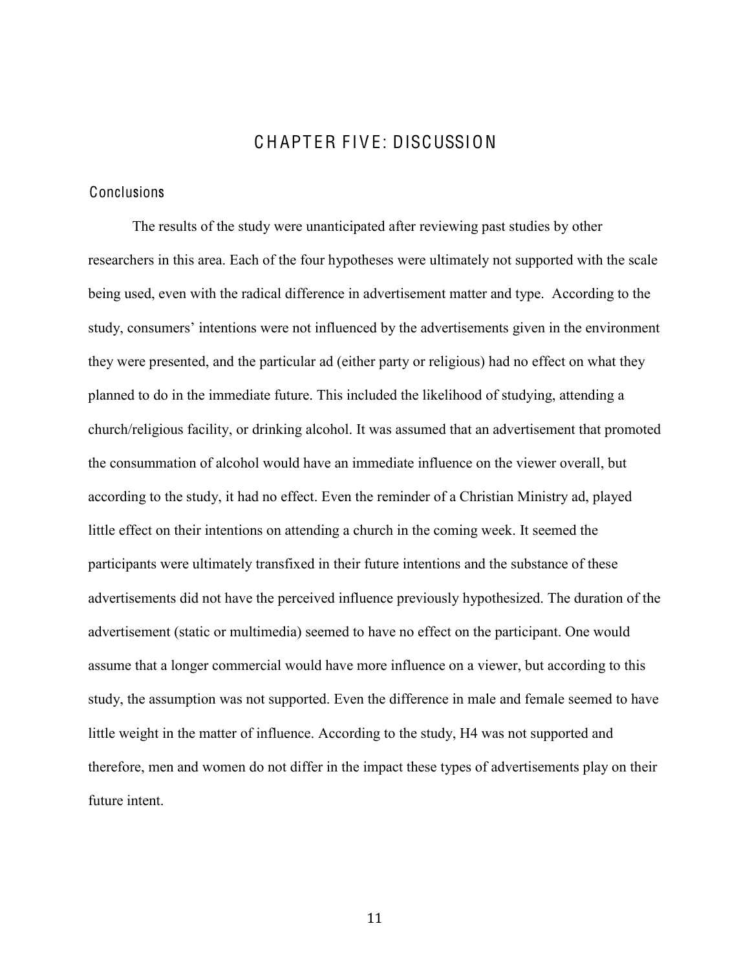# CHAPTER FIVE: DISCUSSION

#### <span id="page-18-1"></span><span id="page-18-0"></span>Conclusions

The results of the study were unanticipated after reviewing past studies by other researchers in this area. Each of the four hypotheses were ultimately not supported with the scale being used, even with the radical difference in advertisement matter and type. According to the study, consumers' intentions were not influenced by the advertisements given in the environment they were presented, and the particular ad (either party or religious) had no effect on what they planned to do in the immediate future. This included the likelihood of studying, attending a church/religious facility, or drinking alcohol. It was assumed that an advertisement that promoted the consummation of alcohol would have an immediate influence on the viewer overall, but according to the study, it had no effect. Even the reminder of a Christian Ministry ad, played little effect on their intentions on attending a church in the coming week. It seemed the participants were ultimately transfixed in their future intentions and the substance of these advertisements did not have the perceived influence previously hypothesized. The duration of the advertisement (static or multimedia) seemed to have no effect on the participant. One would assume that a longer commercial would have more influence on a viewer, but according to this study, the assumption was not supported. Even the difference in male and female seemed to have little weight in the matter of influence. According to the study, H4 was not supported and therefore, men and women do not differ in the impact these types of advertisements play on their future intent.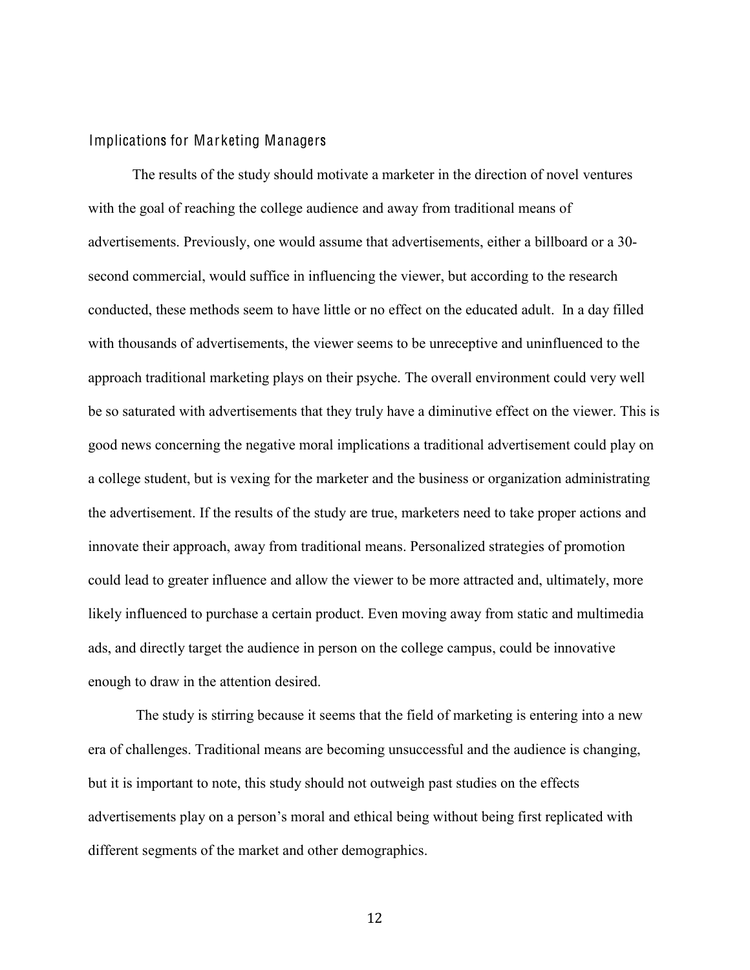#### <span id="page-19-0"></span>Implications for Marketing Managers

The results of the study should motivate a marketer in the direction of novel ventures with the goal of reaching the college audience and away from traditional means of advertisements. Previously, one would assume that advertisements, either a billboard or a 30 second commercial, would suffice in influencing the viewer, but according to the research conducted, these methods seem to have little or no effect on the educated adult. In a day filled with thousands of advertisements, the viewer seems to be unreceptive and uninfluenced to the approach traditional marketing plays on their psyche. The overall environment could very well be so saturated with advertisements that they truly have a diminutive effect on the viewer. This is good news concerning the negative moral implications a traditional advertisement could play on a college student, but is vexing for the marketer and the business or organization administrating the advertisement. If the results of the study are true, marketers need to take proper actions and innovate their approach, away from traditional means. Personalized strategies of promotion could lead to greater influence and allow the viewer to be more attracted and, ultimately, more likely influenced to purchase a certain product. Even moving away from static and multimedia ads, and directly target the audience in person on the college campus, could be innovative enough to draw in the attention desired.

The study is stirring because it seems that the field of marketing is entering into a new era of challenges. Traditional means are becoming unsuccessful and the audience is changing, but it is important to note, this study should not outweigh past studies on the effects advertisements play on a person's moral and ethical being without being first replicated with different segments of the market and other demographics.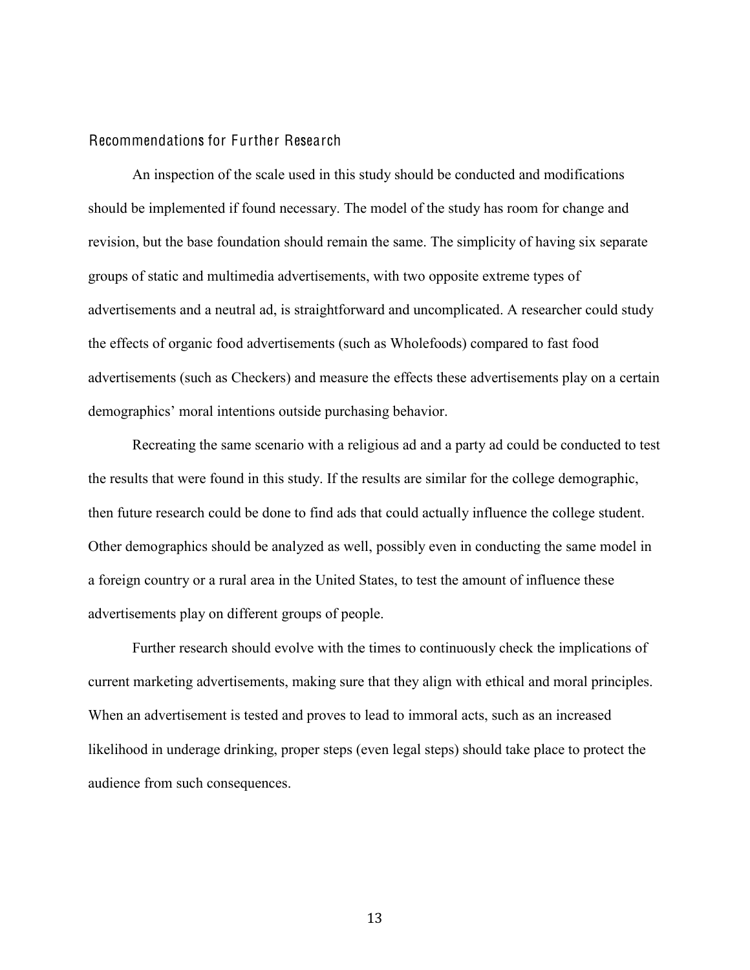#### <span id="page-20-0"></span>Recommendations for Further Research

An inspection of the scale used in this study should be conducted and modifications should be implemented if found necessary. The model of the study has room for change and revision, but the base foundation should remain the same. The simplicity of having six separate groups of static and multimedia advertisements, with two opposite extreme types of advertisements and a neutral ad, is straightforward and uncomplicated. A researcher could study the effects of organic food advertisements (such as Wholefoods) compared to fast food advertisements (such as Checkers) and measure the effects these advertisements play on a certain demographics' moral intentions outside purchasing behavior.

Recreating the same scenario with a religious ad and a party ad could be conducted to test the results that were found in this study. If the results are similar for the college demographic, then future research could be done to find ads that could actually influence the college student. Other demographics should be analyzed as well, possibly even in conducting the same model in a foreign country or a rural area in the United States, to test the amount of influence these advertisements play on different groups of people.

Further research should evolve with the times to continuously check the implications of current marketing advertisements, making sure that they align with ethical and moral principles. When an advertisement is tested and proves to lead to immoral acts, such as an increased likelihood in underage drinking, proper steps (even legal steps) should take place to protect the audience from such consequences.

13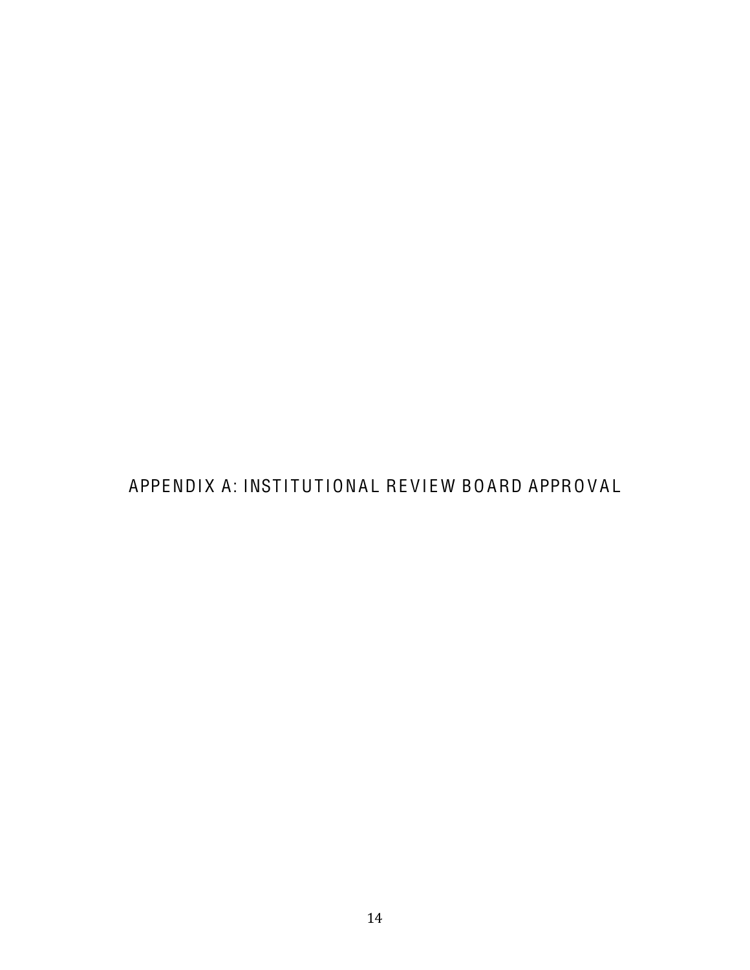<span id="page-21-0"></span>APPENDIX A: INSTITUTIONAL REVIEW BOARD APPROVAL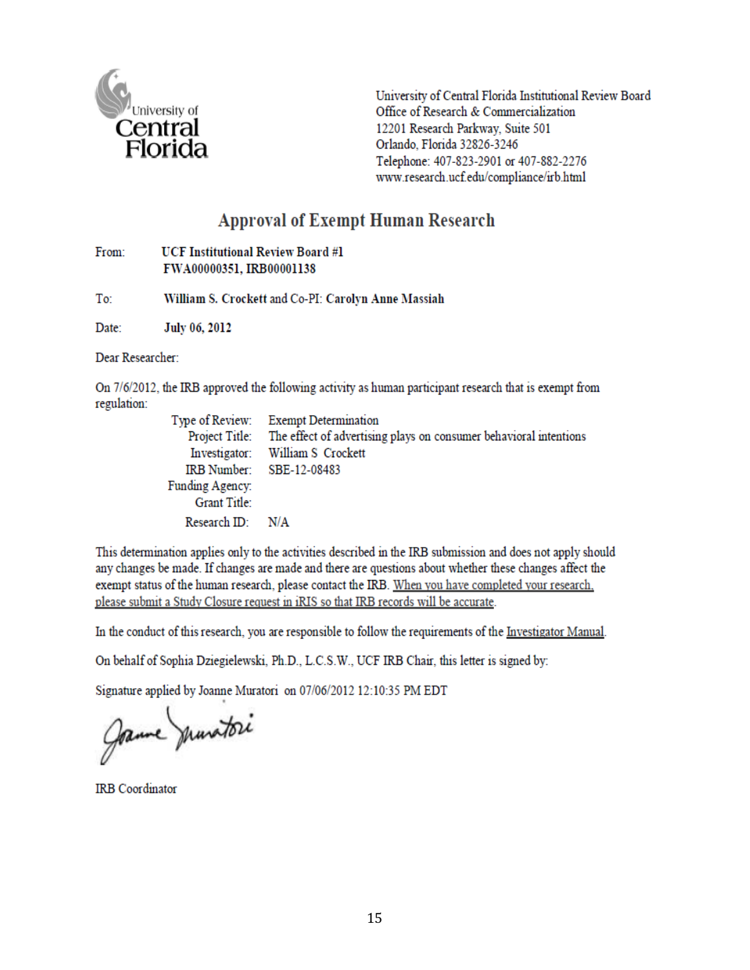

University of Central Florida Institutional Review Board Office of Research & Commercialization 12201 Research Parkway, Suite 501 Orlando, Florida 32826-3246 Telephone: 407-823-2901 or 407-882-2276 www.research.ucf.edu/compliance/irb.html

# **Approval of Exempt Human Research**

| From: | <b>UCF Institutional Review Board #1</b> |  |  |  |  |
|-------|------------------------------------------|--|--|--|--|
|       | FWA00000351, IRB00001138                 |  |  |  |  |

To: William S. Crockett and Co-PI: Carolyn Anne Massiah

Date: July 06, 2012

Dear Researcher:

On 7/6/2012, the IRB approved the following activity as human participant research that is exempt from regulation:

|                          | Type of Review: Exempt Determination                                             |
|--------------------------|----------------------------------------------------------------------------------|
|                          | Project Title: The effect of advertising plays on consumer behavioral intentions |
|                          | Investigator: William S Crockett                                                 |
| IRB Number: SBE-12-08483 |                                                                                  |
| Funding Agency:          |                                                                                  |
| Grant Title:             |                                                                                  |
| Research $ID: N/A$       |                                                                                  |

This determination applies only to the activities described in the IRB submission and does not apply should any changes be made. If changes are made and there are questions about whether these changes affect the exempt status of the human research, please contact the IRB. When you have completed your research, please submit a Study Closure request in iRIS so that IRB records will be accurate.

In the conduct of this research, you are responsible to follow the requirements of the Investigator Manual.

On behalf of Sophia Dziegielewski, Ph.D., L.C.S.W., UCF IRB Chair, this letter is signed by:

Signature applied by Joanne Muratori on 07/06/2012 12:10:35 PM EDT

Jame munitori

**IRB** Coordinator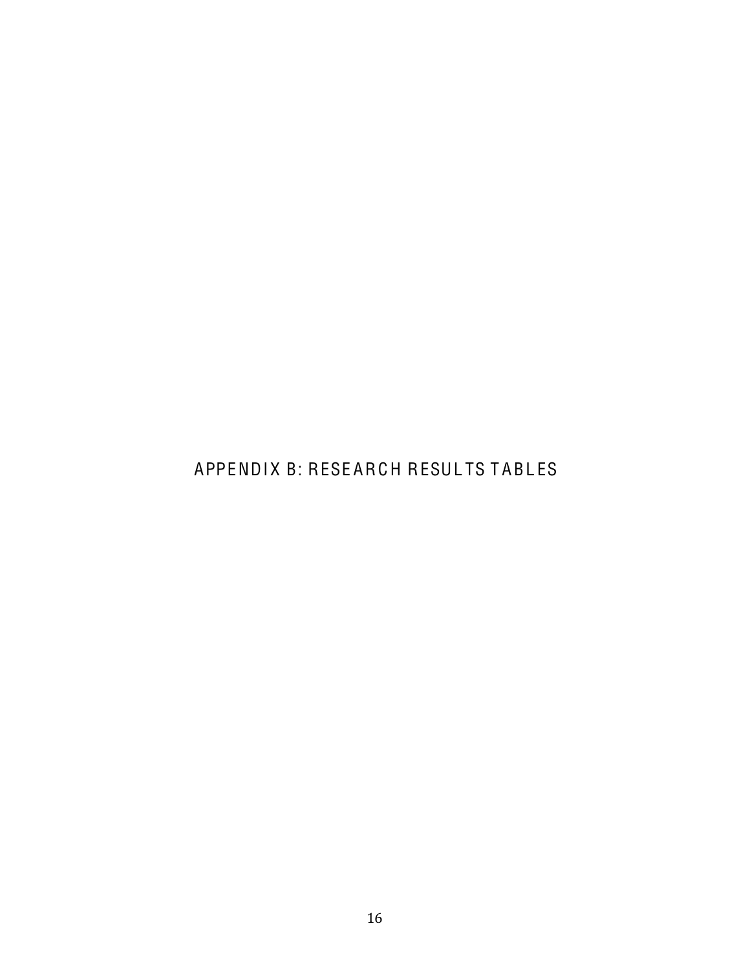# <span id="page-23-0"></span>APPENDIX B: RESEARCH RESULTS TABLES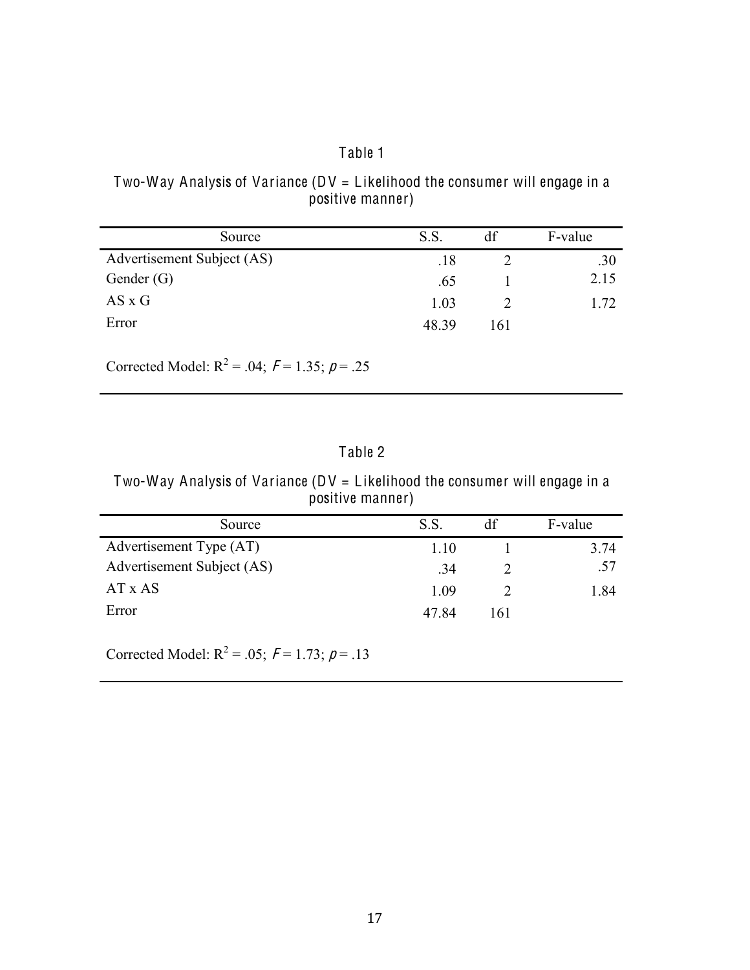# Table 1

## <span id="page-24-0"></span>Two-Way Analysis of Variance ( $DV = Likelihood$  the consumer will engage in a positive manner)

| Source                     | S.S.  | df  | F-value |
|----------------------------|-------|-----|---------|
| Advertisement Subject (AS) | .18   |     | .30     |
| Gender $(G)$               | .65   |     | 2.15    |
| $AS \times G$              | 1.03  |     | 1 72    |
| Error                      | 48.39 | 161 |         |

Corrected Model:  $R^2 = .04$ ;  $F = 1.35$ ;  $p = .25$ 

# Table 2

Two-Way Analysis of Variance ( $DV = Likelihood$  the consumer will engage in a positive manner)

| Source                     | S.S   | df  | F-value |
|----------------------------|-------|-----|---------|
| Advertisement Type (AT)    | 1 10  |     | 3.74    |
| Advertisement Subject (AS) | .34   |     | .57     |
| AT x AS                    | 1 09  |     | 1.84    |
| Error                      | 47.84 | 161 |         |

Corrected Model:  $R^2 = .05$ ;  $F = 1.73$ ;  $p = .13$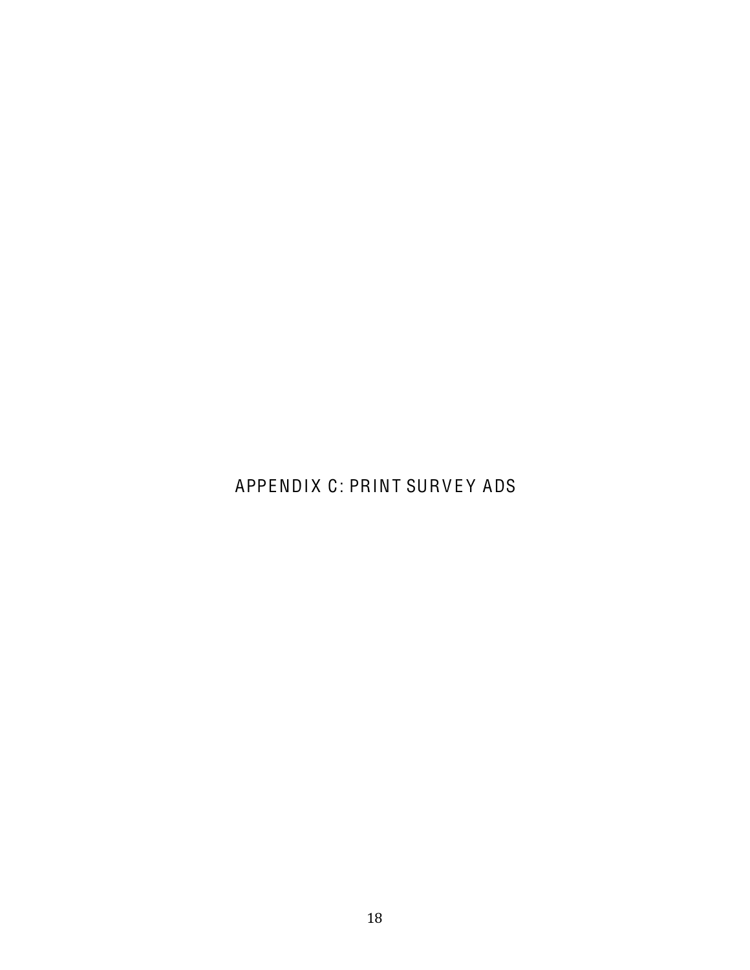<span id="page-25-0"></span>APPENDIX C: PRINT SURVEY ADS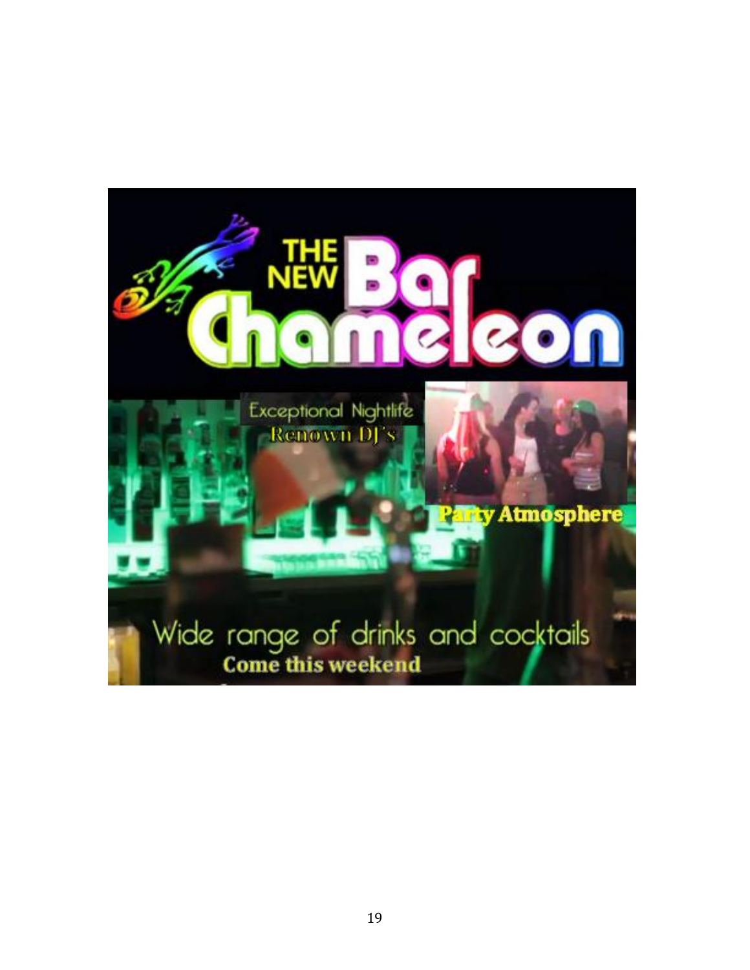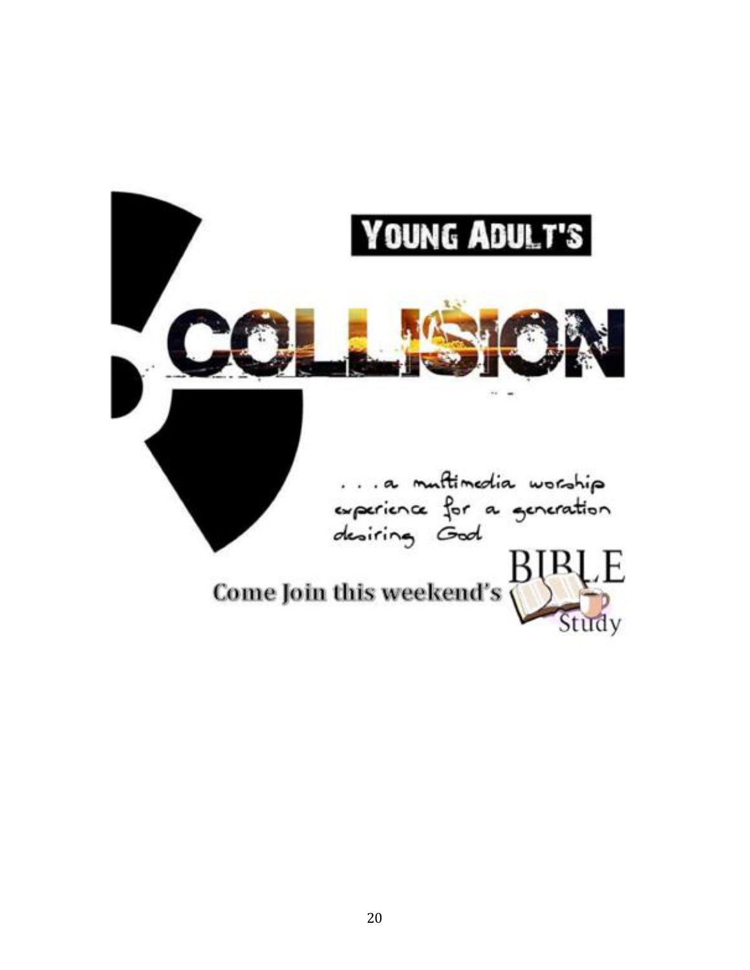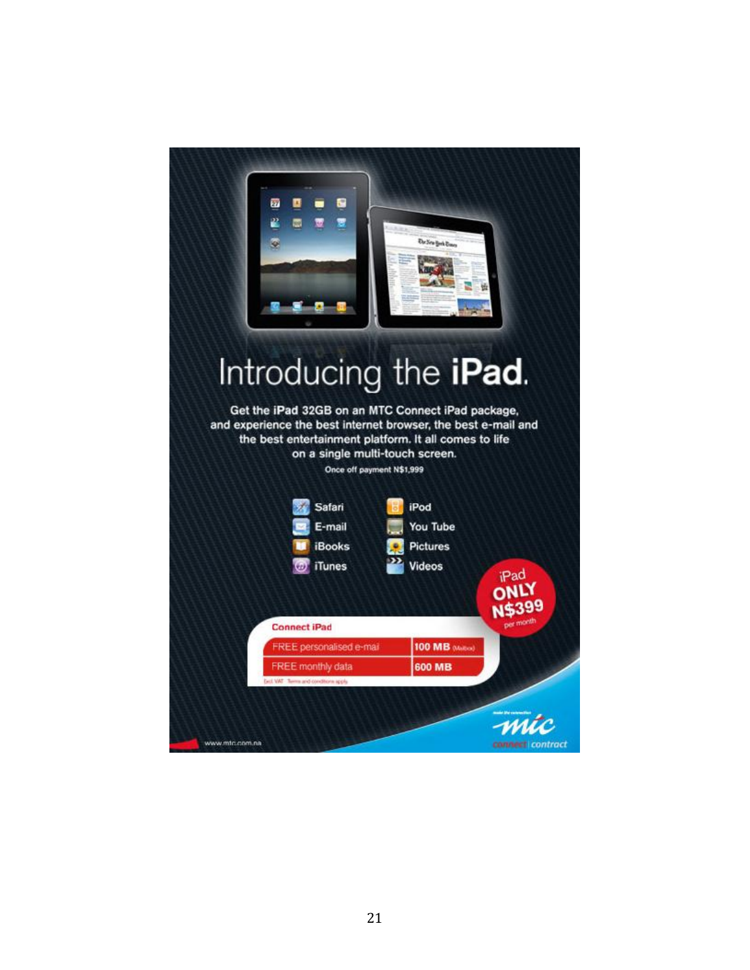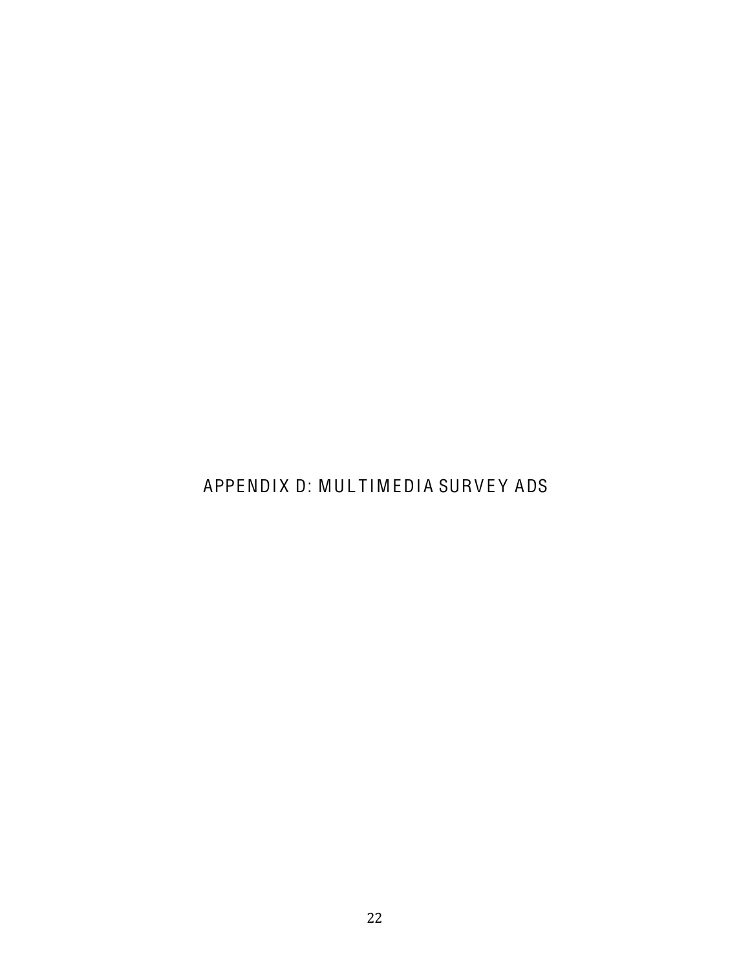<span id="page-29-0"></span>APPENDIX D: MULTIMEDIA SURVEY ADS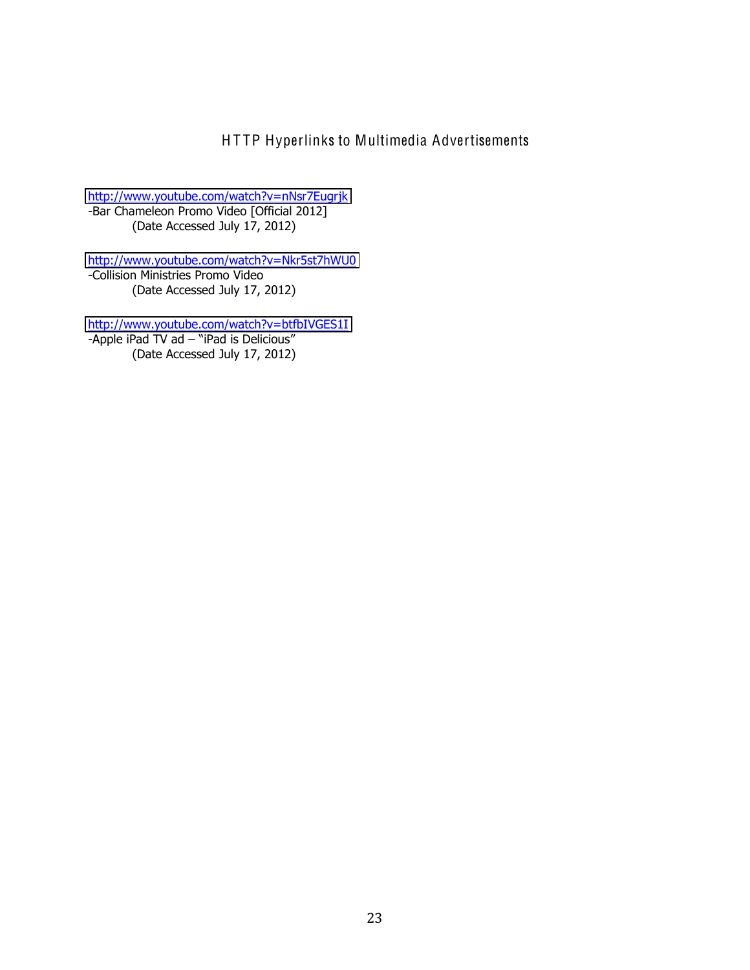HTTP Hyperlinks to Multimedia Advertisements

<span id="page-30-0"></span>http://www.youtube.com/watch?v=nNsr7Eugrjk<br>-Bar Chameleon Promo Video [Official 2012] (Date Accessed July 17, 2012)

http://www.youtube.com/watch?v=Nkr5st7hWU0 -Collision Ministries Promo Video (Date Accessed July 17, 2012)

http://www.youtube.com/watch?v=btfbIVGES1I -Apple iPad TV ad - "iPad is Delicious" (Date Accessed July 17, 2012)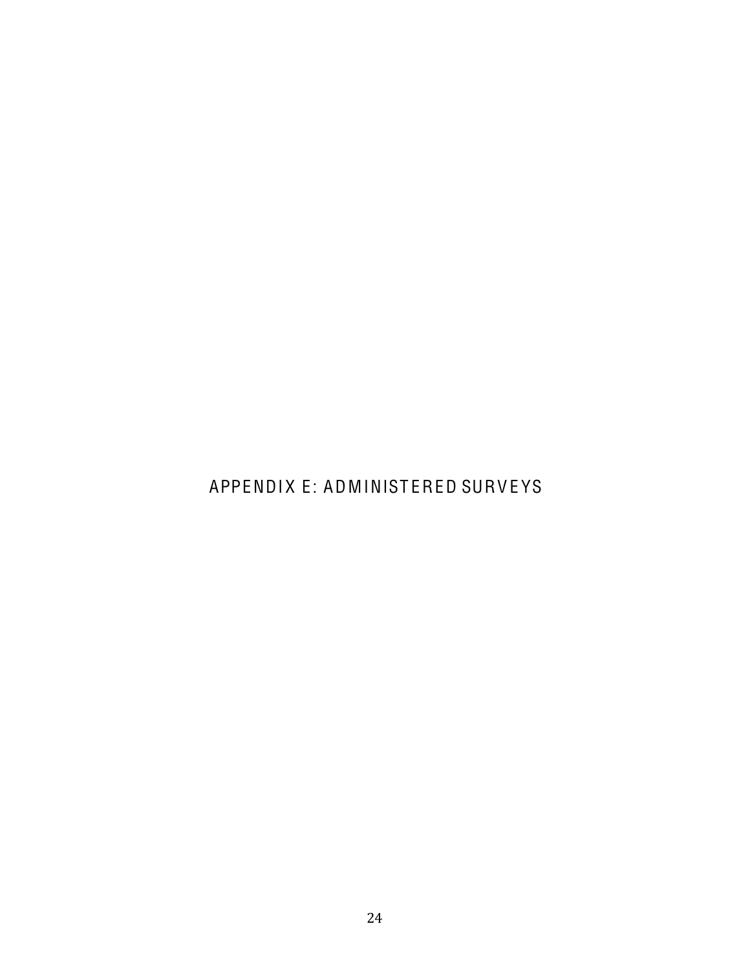# <span id="page-31-0"></span>APPENDIX E: ADMINISTERED SURVEYS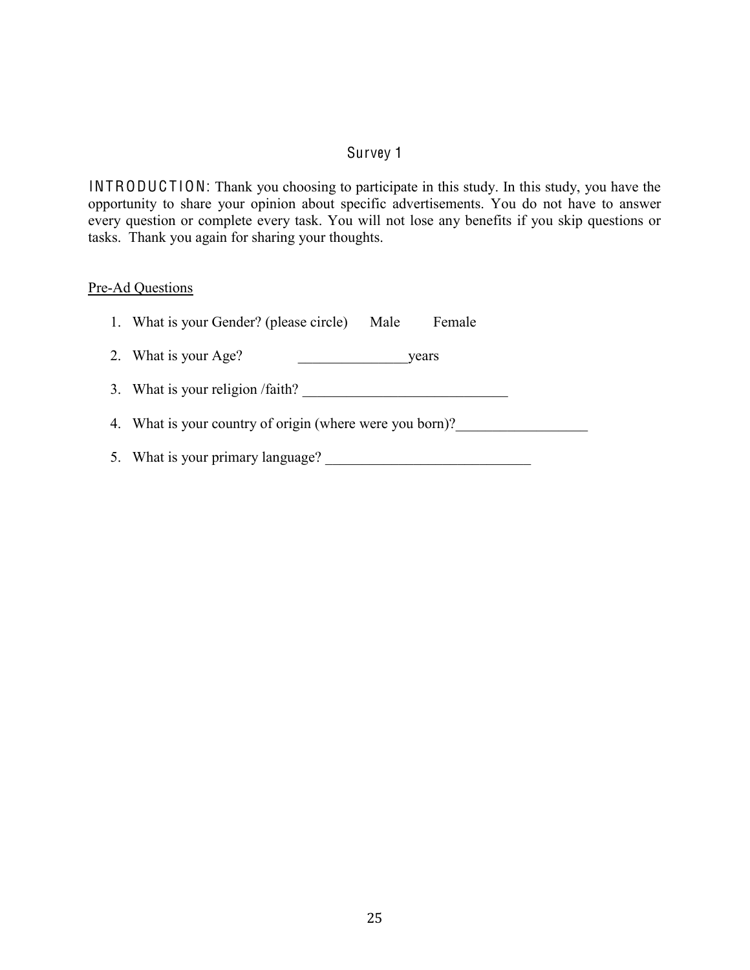# Survey 1

<span id="page-32-0"></span>INTRODUCTION: Thank you choosing to participate in this study. In this study, you have the opportunity to share your opinion about specific advertisements. You do not have to answer every question or complete every task. You will not lose any benefits if you skip questions or tasks. Thank you again for sharing your thoughts.

#### Pre-Ad Questions

| 1. What is your Gender? (please circle)<br>Male<br>Female |
|-----------------------------------------------------------|
| 2. What is your Age?<br>years                             |
| 3. What is your religion /faith?                          |
| 4. What is your country of origin (where were you born)?  |
| 5. What is your primary language?                         |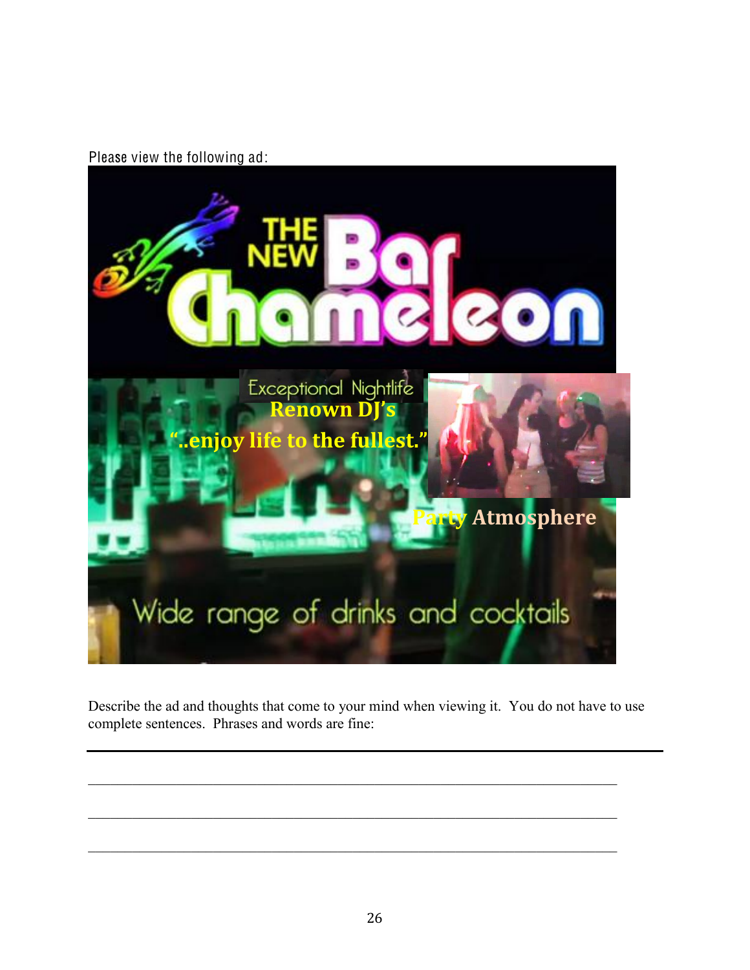Please view the following ad:



Describe the ad and thoughts that come to your mind when viewing it. You do not have to use complete sentences. Phrases and words are fine: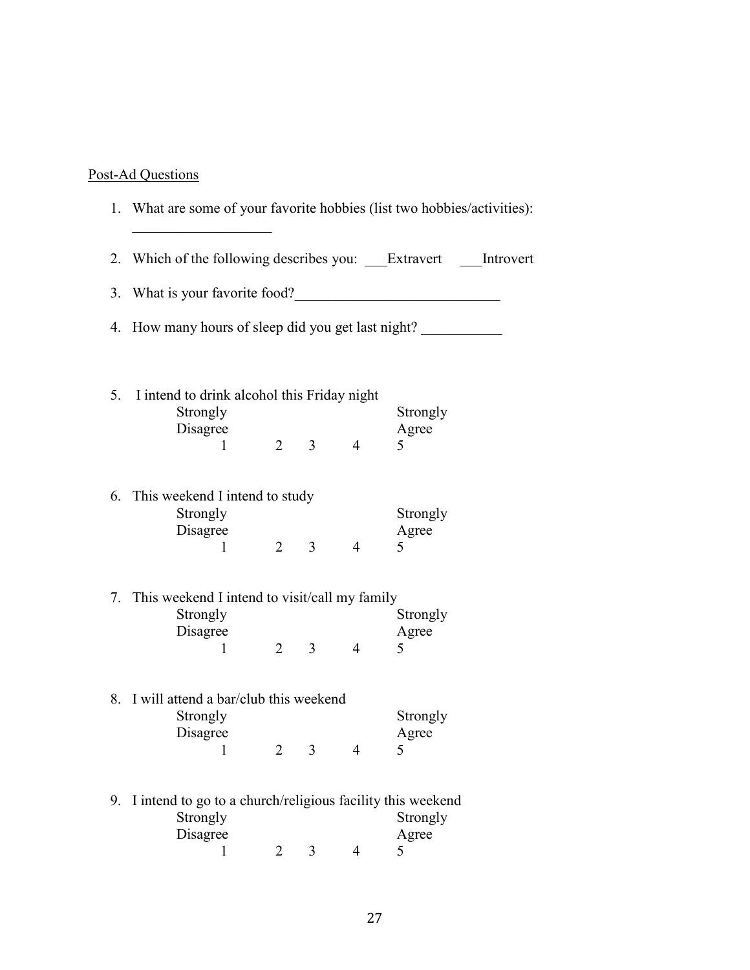## Post-Ad Questions

|    | 1. What are some of your favorite hobbies (list two hobbies/activities):                |                |                |                |                        |  |  |  |  |
|----|-----------------------------------------------------------------------------------------|----------------|----------------|----------------|------------------------|--|--|--|--|
|    | 2. Which of the following describes you: Extravert Introvert                            |                |                |                |                        |  |  |  |  |
|    | 3. What is your favorite food?                                                          |                |                |                |                        |  |  |  |  |
| 4. | How many hours of sleep did you get last night?                                         |                |                |                |                        |  |  |  |  |
|    | 5. I intend to drink alcohol this Friday night<br>Strongly<br>Disagree<br>1             | $\overline{2}$ |                | $3 \qquad 4$   | Strongly<br>Agree<br>5 |  |  |  |  |
|    | 6. This weekend I intend to study<br>Strongly<br>Disagree<br>1                          | $\overline{2}$ | $\overline{3}$ | $\overline{4}$ | Strongly<br>Agree<br>5 |  |  |  |  |
|    | 7. This weekend I intend to visit/call my family<br>Strongly<br>Disagree<br>1           | $\overline{2}$ | 3 <sup>7</sup> | $\overline{4}$ | Strongly<br>Agree<br>5 |  |  |  |  |
|    | 8. I will attend a bar/club this weekend<br>Strongly<br>Disagree<br>$\mathbf{1}$        | $\overline{2}$ | 3              | 4              | Strongly<br>Agree<br>5 |  |  |  |  |
| 9. | I intend to go to a church/religious facility this weekend<br>Strongly<br>Disagree<br>1 | 2              | 3              | 4              | Strongly<br>Agree<br>5 |  |  |  |  |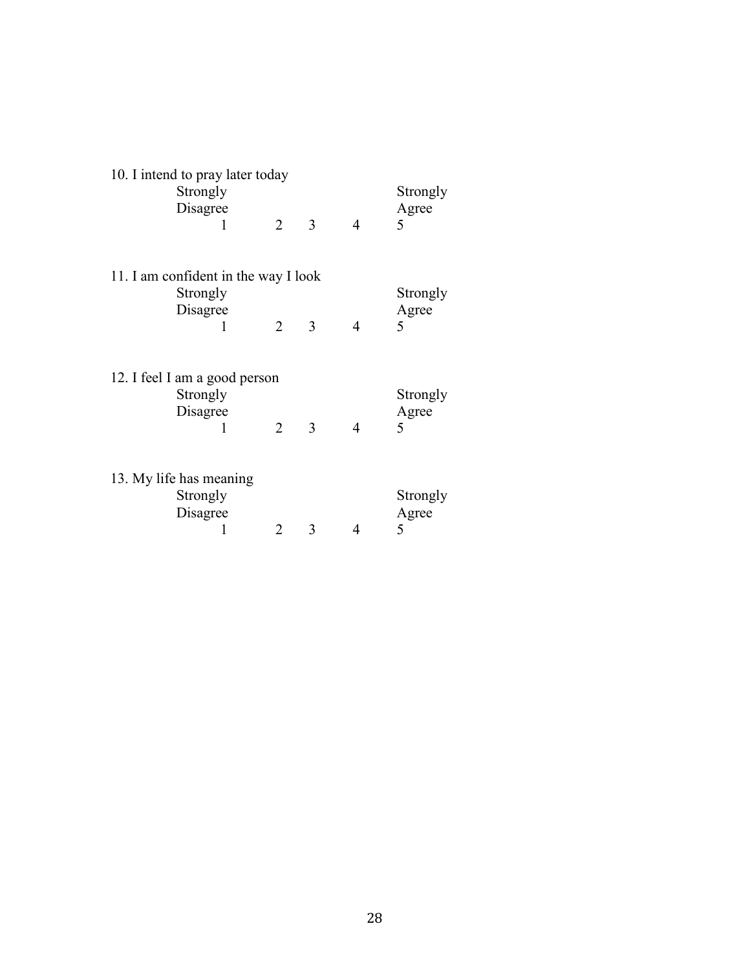| 10. I intend to pray later today |                                      |                |   |                |          |  |  |
|----------------------------------|--------------------------------------|----------------|---|----------------|----------|--|--|
|                                  | Strongly                             |                |   |                | Strongly |  |  |
|                                  | Disagree                             |                |   |                | Agree    |  |  |
|                                  | 1                                    | 2              | 3 | $\overline{4}$ | 5        |  |  |
|                                  |                                      |                |   |                |          |  |  |
|                                  | 11. I am confident in the way I look |                |   |                |          |  |  |
|                                  | Strongly                             |                |   |                | Strongly |  |  |
|                                  | Disagree                             |                |   |                | Agree    |  |  |
|                                  | 1                                    | $\overline{2}$ | 3 | $\overline{4}$ | 5        |  |  |
|                                  |                                      |                |   |                |          |  |  |
|                                  |                                      |                |   |                |          |  |  |
|                                  | 12. I feel I am a good person        |                |   |                |          |  |  |
|                                  | Strongly                             |                |   |                | Strongly |  |  |
|                                  | Disagree                             |                |   |                | Agree    |  |  |
|                                  | 1                                    | $\overline{2}$ | 3 | $\overline{4}$ | 5        |  |  |
|                                  |                                      |                |   |                |          |  |  |
|                                  |                                      |                |   |                |          |  |  |
|                                  | 13. My life has meaning              |                |   |                |          |  |  |
|                                  | Strongly                             |                |   |                | Strongly |  |  |
|                                  | Disagree                             |                |   |                | Agree    |  |  |
|                                  | 1                                    | 2              | 3 | 4              | 5        |  |  |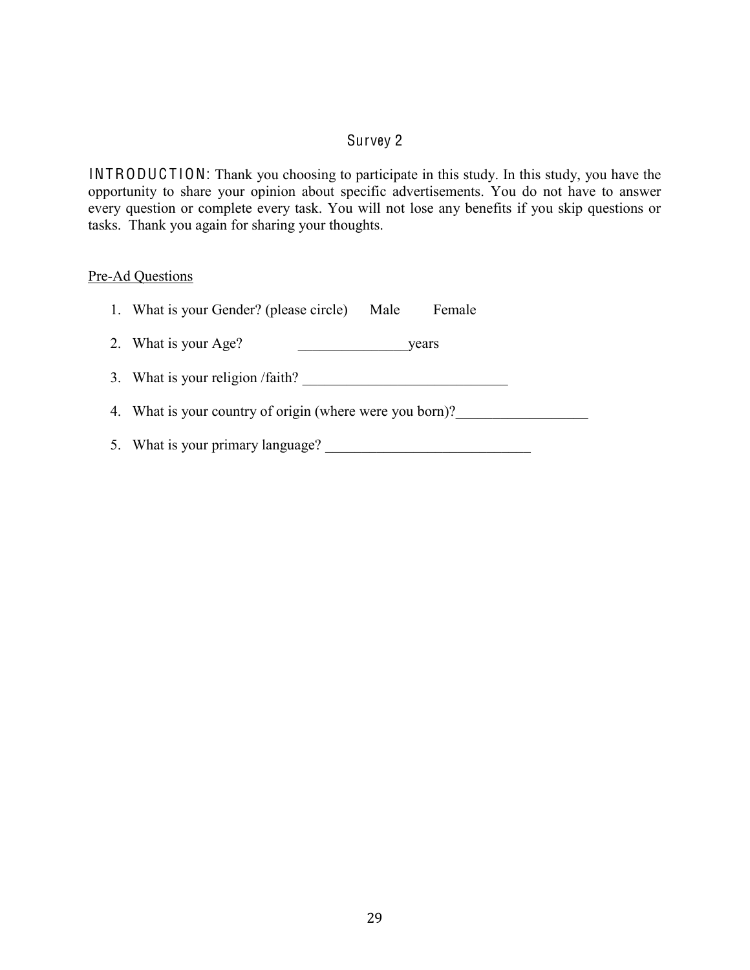# Survey 2

<span id="page-36-0"></span>INTRODUCTION: Thank you choosing to participate in this study. In this study, you have the opportunity to share your opinion about specific advertisements. You do not have to answer every question or complete every task. You will not lose any benefits if you skip questions or tasks. Thank you again for sharing your thoughts.

#### Pre-Ad Questions

| 1. What is your Gender? (please circle)<br>Female<br>Male |
|-----------------------------------------------------------|
| 2. What is your Age?<br>years                             |
| 3. What is your religion /faith?                          |
| 4. What is your country of origin (where were you born)?  |
| 5. What is your primary language?                         |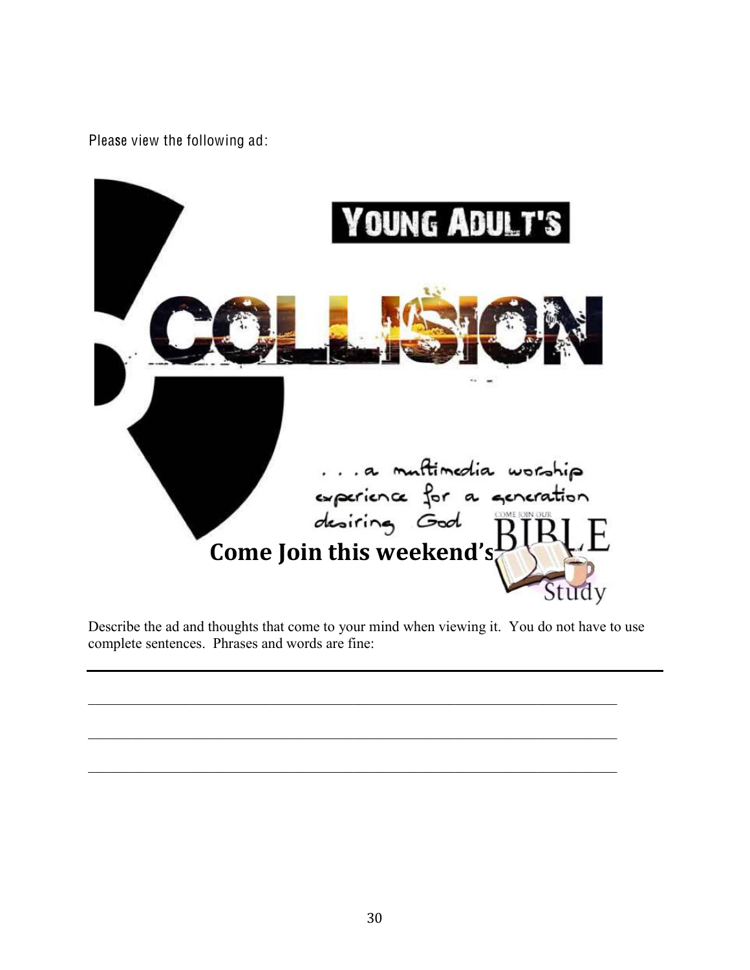Please view the following ad:



Describe the ad and thoughts that come to your mind when viewing it. You do not have to use complete sentences. Phrases and words are fine: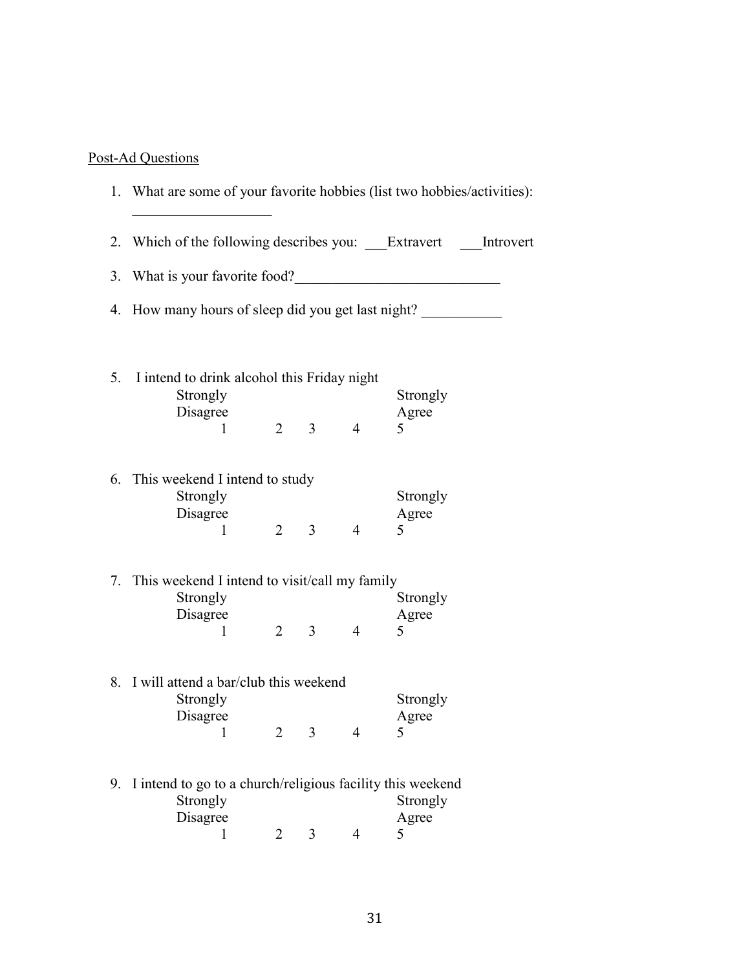# Post-Ad Questions

|    | 1. What are some of your favorite hobbies (list two hobbies/activities):   |                |                |                |                                                |  |
|----|----------------------------------------------------------------------------|----------------|----------------|----------------|------------------------------------------------|--|
| 2. | Which of the following describes you: Extravert Introvert                  |                |                |                |                                                |  |
| 3. | What is your favorite food?                                                |                |                |                | <u> 1989 - Jan Sterling Sterling (f. 1989)</u> |  |
| 4. | How many hours of sleep did you get last night?                            |                |                |                |                                                |  |
| 5. | I intend to drink alcohol this Friday night<br>Strongly<br>Disagree<br>1   | $\overline{2}$ | $\overline{3}$ | $\overline{4}$ | Strongly<br>Agree<br>5                         |  |
| 6. | This weekend I intend to study<br>Strongly<br>Disagree<br>1                | $\overline{2}$ | 3              | $\overline{4}$ | Strongly<br>Agree<br>5                         |  |
| 7. | This weekend I intend to visit/call my family<br>Strongly<br>Disagree<br>1 | $\overline{2}$ | 3 <sup>1</sup> | $\overline{4}$ | Strongly<br>Agree<br>5                         |  |
|    | 8. I will attend a bar/club this weekend<br>Strongly<br>Disagree<br>1      | $\overline{2}$ | $\overline{3}$ | $\overline{4}$ | Strongly<br>Agree<br>5                         |  |

| 9. I intend to go to a church/religious facility this weekend |  |          |
|---------------------------------------------------------------|--|----------|
| Strongly                                                      |  | Strongly |
| Disagree                                                      |  | Agree    |
|                                                               |  |          |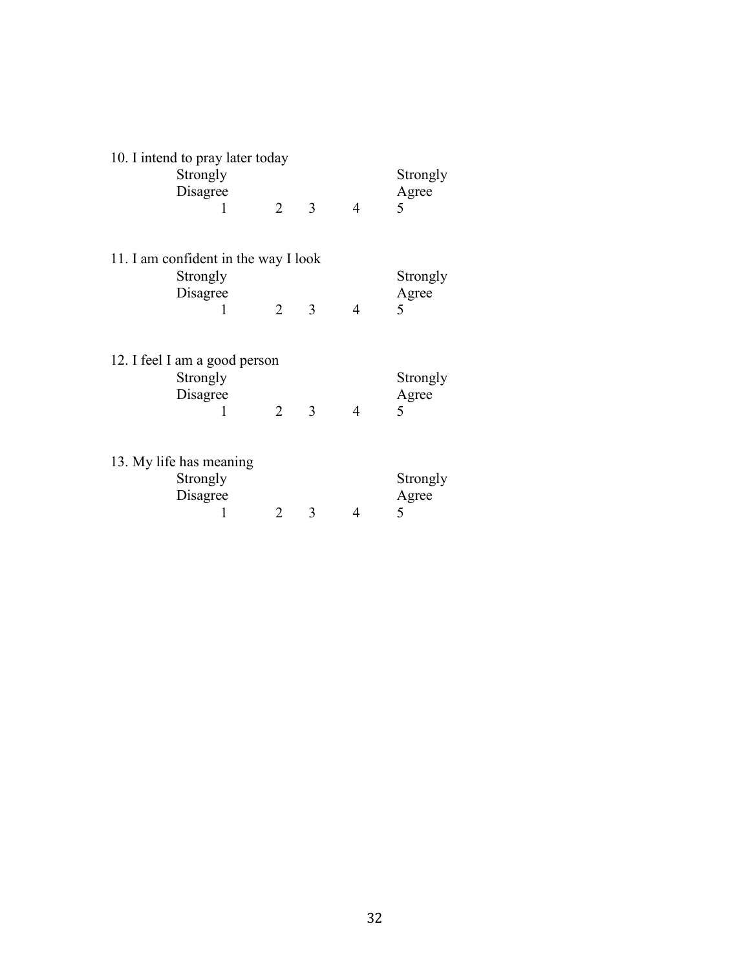| 10. I intend to pray later today<br>Strongly |                |   |                | Strongly               |
|----------------------------------------------|----------------|---|----------------|------------------------|
| Disagree<br>1                                | 2              | 3 | $\overline{4}$ | Agree<br>5             |
| 11. I am confident in the way I look         |                |   |                |                        |
| Strongly<br>Disagree<br>1                    | $\overline{2}$ | 3 | $\overline{4}$ | Strongly<br>Agree<br>5 |
| 12. I feel I am a good person                |                |   |                |                        |
| Strongly<br>Disagree<br>1                    | $\overline{2}$ | 3 | $\overline{4}$ | Strongly<br>Agree<br>5 |
|                                              |                |   |                |                        |
| 13. My life has meaning<br>Strongly          |                |   |                | Strongly               |
| Disagree<br>1                                | 2              | 3 | 4              | Agree<br>5             |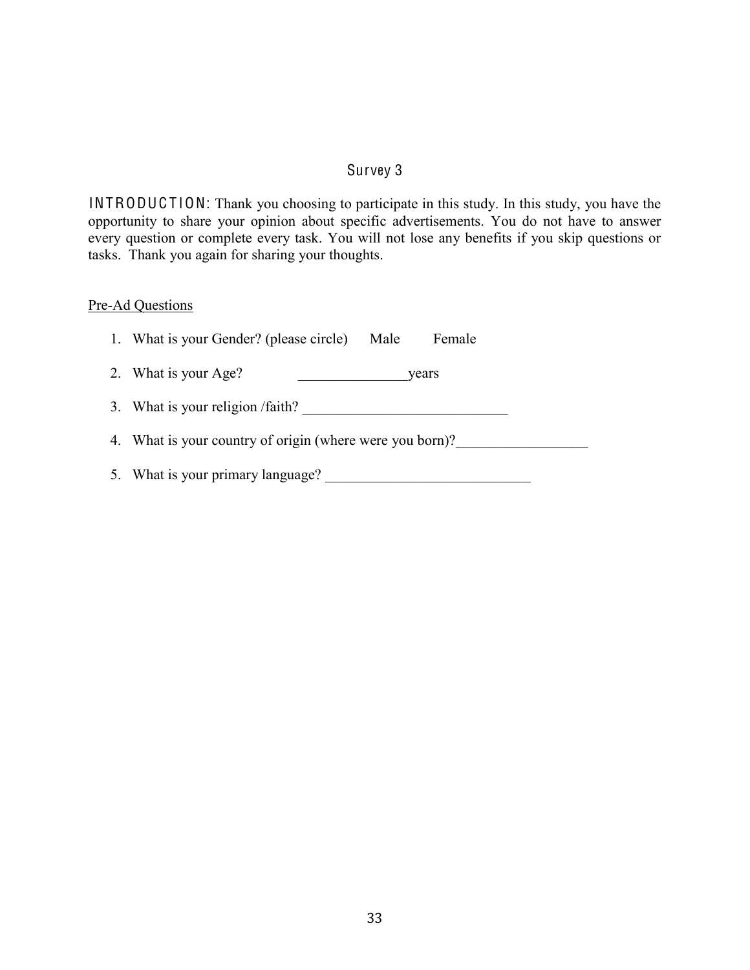## Survey 3

<span id="page-40-0"></span>INTRODUCTION: Thank you choosing to participate in this study. In this study, you have the opportunity to share your opinion about specific advertisements. You do not have to answer every question or complete every task. You will not lose any benefits if you skip questions or tasks. Thank you again for sharing your thoughts.

# Pre-Ad Questions

| 1. What is your Gender? (please circle)<br>Male<br>Female |  |  |  |  |  |
|-----------------------------------------------------------|--|--|--|--|--|
| 2. What is your Age?<br>years                             |  |  |  |  |  |
| 3. What is your religion /faith?                          |  |  |  |  |  |
| 4. What is your country of origin (where were you born)?  |  |  |  |  |  |
| 5. What is your primary language?                         |  |  |  |  |  |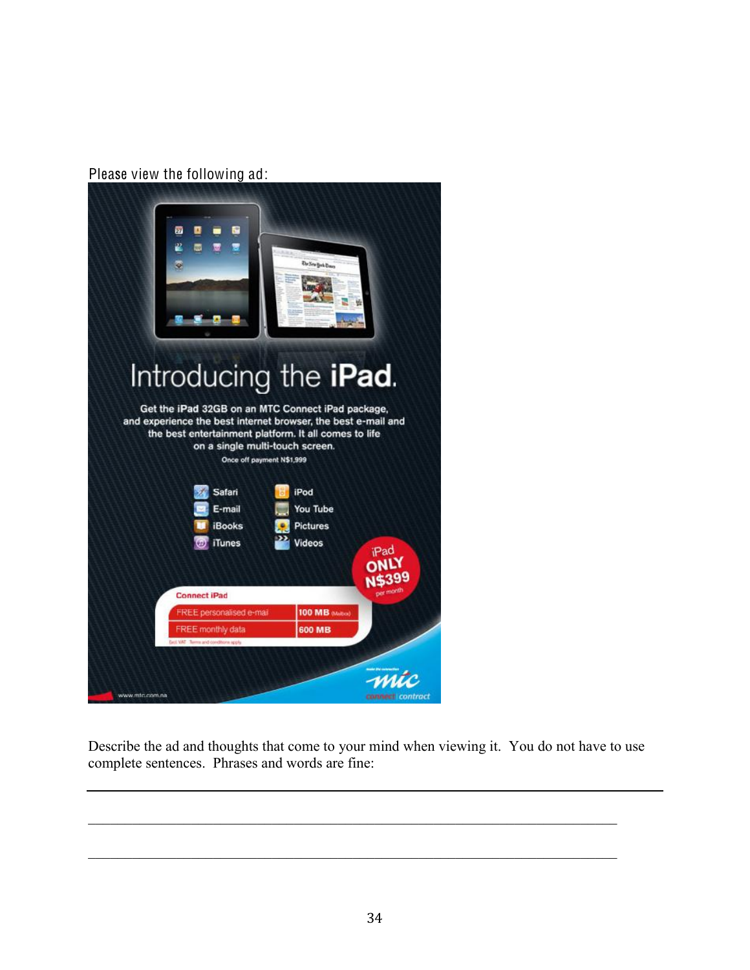Please view the following ad:



Describe the ad and thoughts that come to your mind when viewing it. You do not have to use complete sentences. Phrases and words are fine: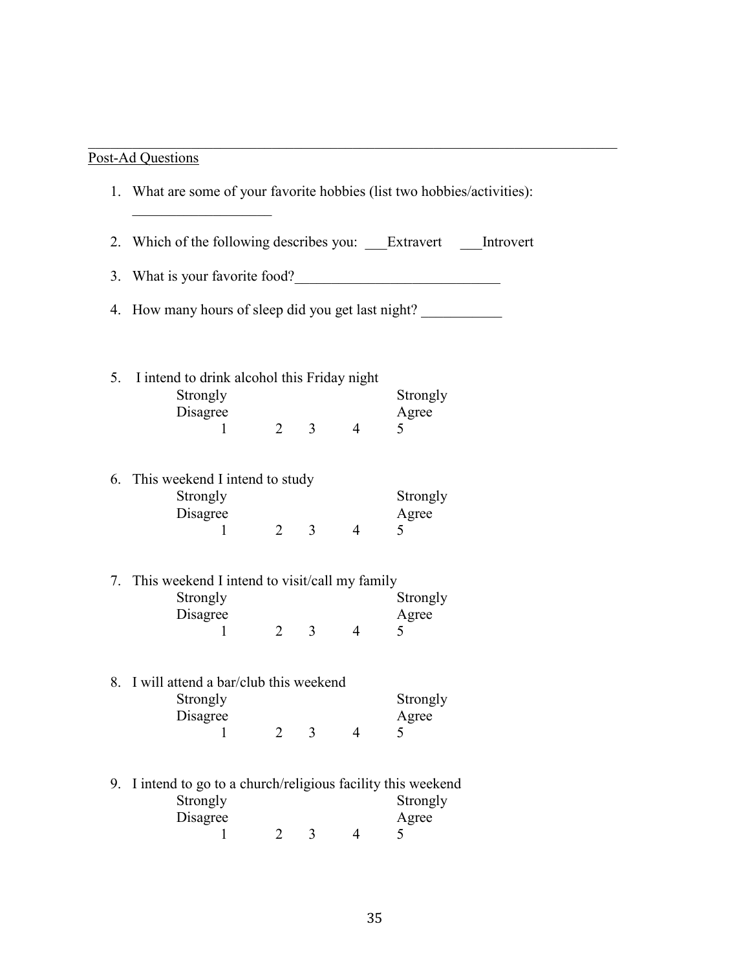# Post-Ad Questions

|    | 1. What are some of your favorite hobbies (list two hobbies/activities):      |                |                |                |                        |  |  |  |
|----|-------------------------------------------------------------------------------|----------------|----------------|----------------|------------------------|--|--|--|
| 2. | Which of the following describes you: Extravert Introvert                     |                |                |                |                        |  |  |  |
| 3. | What is your favorite food?<br><u>Letting</u>                                 |                |                |                |                        |  |  |  |
| 4. | How many hours of sleep did you get last night?                               |                |                |                |                        |  |  |  |
| 5. | I intend to drink alcohol this Friday night<br>Strongly                       |                |                |                | Strongly               |  |  |  |
|    | Disagree<br>1                                                                 | $\overline{2}$ | 3              | $\overline{4}$ | Agree<br>5             |  |  |  |
| 6. | This weekend I intend to study<br>Strongly<br>Disagree<br>$\mathbf{1}$        | $\overline{2}$ | $\overline{3}$ | $\overline{4}$ | Strongly<br>Agree<br>5 |  |  |  |
| 7. | This weekend I intend to visit/call my family<br>Strongly<br>Disagree<br>1    | $\overline{2}$ | $\overline{3}$ | $\overline{4}$ | Strongly<br>Agree<br>5 |  |  |  |
| 8. | I will attend a bar/club this weekend<br>Strongly<br>Disagree<br>$\mathbf{1}$ | $\overline{2}$ | $\overline{3}$ | $\overline{4}$ | Strongly<br>Agree<br>5 |  |  |  |
|    |                                                                               |                |                |                |                        |  |  |  |

 $\mathcal{L}_\text{max}$  , and the contribution of the contribution of the contribution of the contribution of the contribution of the contribution of the contribution of the contribution of the contribution of the contribution of t

| 9. I intend to go to a church/religious facility this weekend |  |          |
|---------------------------------------------------------------|--|----------|
| Strongly                                                      |  | Strongly |
| Disagree                                                      |  | Agree    |
|                                                               |  |          |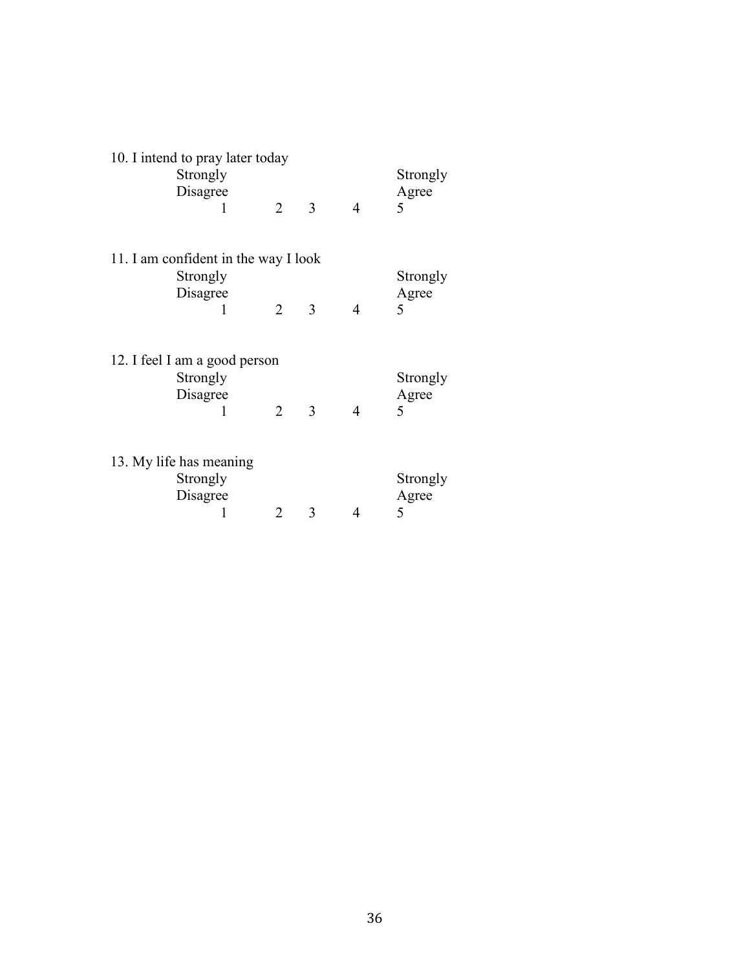| 10. I intend to pray later today<br>Strongly |                |   |                | Strongly               |
|----------------------------------------------|----------------|---|----------------|------------------------|
| Disagree<br>1                                | 2              | 3 | $\overline{4}$ | Agree<br>5             |
| 11. I am confident in the way I look         |                |   |                |                        |
| Strongly<br>Disagree<br>1                    | $\overline{2}$ | 3 | $\overline{4}$ | Strongly<br>Agree<br>5 |
| 12. I feel I am a good person                |                |   |                |                        |
| Strongly<br>Disagree<br>1                    | $\overline{2}$ | 3 | $\overline{4}$ | Strongly<br>Agree<br>5 |
|                                              |                |   |                |                        |
| 13. My life has meaning<br>Strongly          |                |   |                | Strongly               |
| Disagree<br>1                                | 2              | 3 | 4              | Agree<br>5             |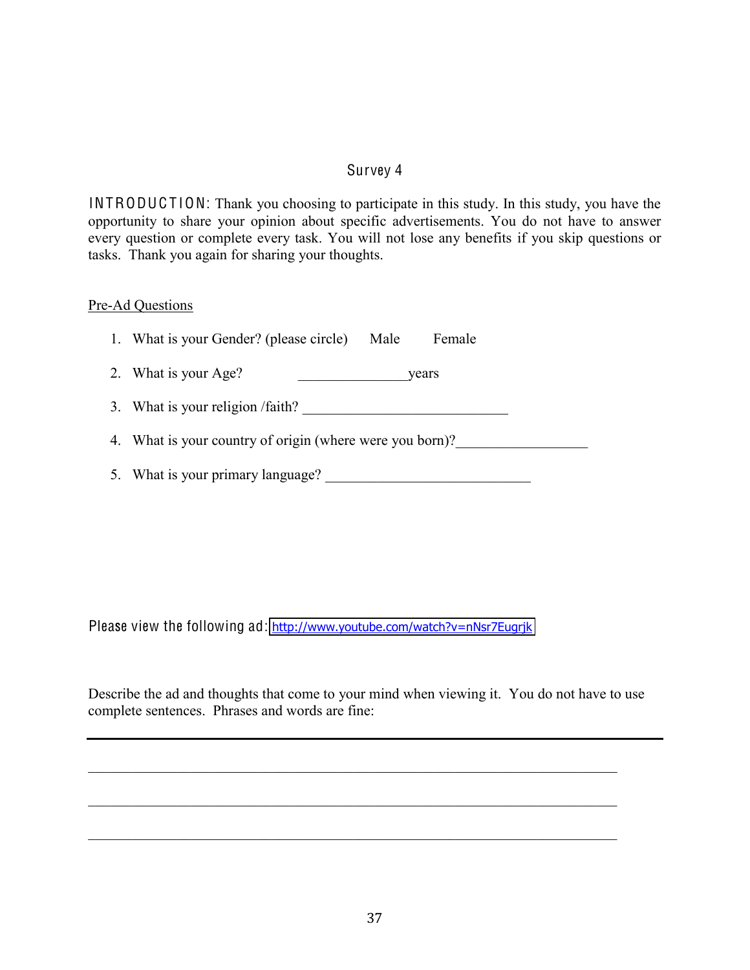## Survey 4

<span id="page-44-0"></span>INTRODUCTION: Thank you choosing to participate in this study. In this study, you have the opportunity to share your opinion about specific advertisements. You do not have to answer every question or complete every task. You will not lose any benefits if you skip questions or tasks. Thank you again for sharing your thoughts.

#### Pre-Ad Questions

| 1. What is your Gender? (please circle)<br>Male<br>Female |  |  |  |  |  |
|-----------------------------------------------------------|--|--|--|--|--|
| 2. What is your Age?<br>years                             |  |  |  |  |  |
| 3. What is your religion /faith?                          |  |  |  |  |  |
| 4. What is your country of origin (where were you born)?  |  |  |  |  |  |
| 5. What is your primary language?                         |  |  |  |  |  |

Please view the following ad: http://www.youtube.com/watch?v=nNsr7Eugrjk

Describe the ad and thoughts that come to your mind when viewing it. You do not have to use complete sentences. Phrases and words are fine:

 $\mathcal{L}_\text{max}$  , and the contribution of the contribution of the contribution of the contribution of the contribution of the contribution of the contribution of the contribution of the contribution of the contribution of t

 $\mathcal{L}_\text{max}$  , and the contribution of the contribution of the contribution of the contribution of the contribution of the contribution of the contribution of the contribution of the contribution of the contribution of t

 $\mathcal{L}_\text{max}$  , and the contribution of the contribution of the contribution of the contribution of the contribution of the contribution of the contribution of the contribution of the contribution of the contribution of t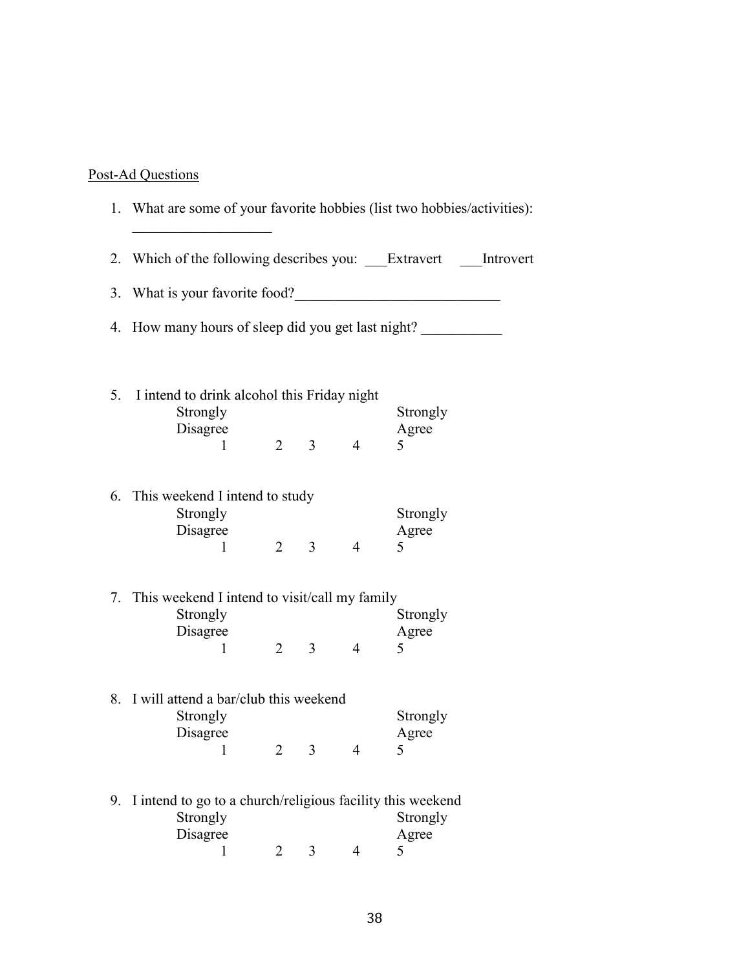## Post-Ad Questions

|    | 1. What are some of your favorite hobbies (list two hobbies/activities):                |                |                |                |                                                              |  |
|----|-----------------------------------------------------------------------------------------|----------------|----------------|----------------|--------------------------------------------------------------|--|
|    |                                                                                         |                |                |                | 2. Which of the following describes you: Extravert Introvert |  |
|    | 3. What is your favorite food?                                                          |                |                |                |                                                              |  |
| 4. | How many hours of sleep did you get last night?                                         |                |                |                |                                                              |  |
|    | 5. I intend to drink alcohol this Friday night<br>Strongly<br>Disagree<br>1             | $\overline{2}$ |                | $3 \qquad 4$   | Strongly<br>Agree<br>5                                       |  |
|    | 6. This weekend I intend to study<br>Strongly<br>Disagree<br>1                          | $\overline{2}$ | $\overline{3}$ | $\overline{4}$ | Strongly<br>Agree<br>5                                       |  |
|    | 7. This weekend I intend to visit/call my family<br>Strongly<br>Disagree<br>1           | $\overline{2}$ | 3 <sup>7</sup> | $\overline{4}$ | Strongly<br>Agree<br>5                                       |  |
|    | 8. I will attend a bar/club this weekend<br>Strongly<br>Disagree<br>$\mathbf{1}$        | $\overline{2}$ | 3              | 4              | Strongly<br>Agree<br>5                                       |  |
| 9. | I intend to go to a church/religious facility this weekend<br>Strongly<br>Disagree<br>1 | 2              | 3              | 4              | Strongly<br>Agree<br>5                                       |  |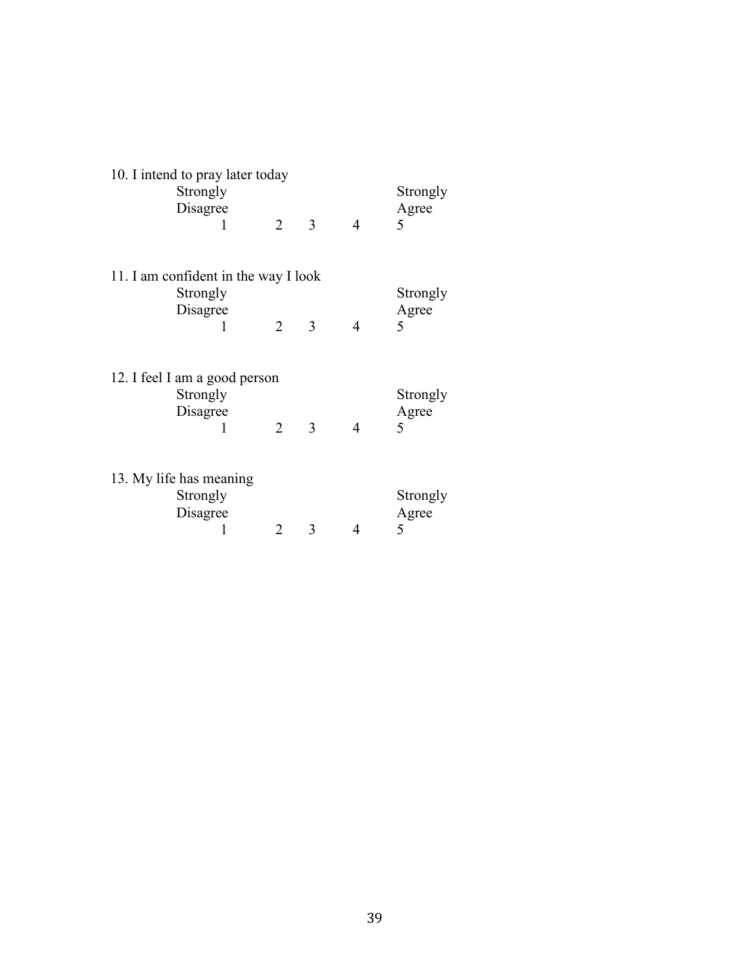| 10. I intend to pray later today |                                      |                |   |                |          |  |  |
|----------------------------------|--------------------------------------|----------------|---|----------------|----------|--|--|
|                                  | Strongly                             |                |   |                | Strongly |  |  |
|                                  | Disagree                             |                |   |                | Agree    |  |  |
|                                  | 1                                    | 2              | 3 | $\overline{4}$ | 5        |  |  |
|                                  |                                      |                |   |                |          |  |  |
|                                  | 11. I am confident in the way I look |                |   |                |          |  |  |
|                                  | Strongly                             |                |   |                | Strongly |  |  |
|                                  | Disagree                             |                |   |                | Agree    |  |  |
|                                  | 1                                    | 2              | 3 | $\overline{4}$ | 5        |  |  |
|                                  |                                      |                |   |                |          |  |  |
|                                  | 12. I feel I am a good person        |                |   |                |          |  |  |
|                                  | Strongly                             |                |   |                | Strongly |  |  |
|                                  | Disagree                             |                |   |                | Agree    |  |  |
|                                  | 1                                    | $\overline{2}$ | 3 | $\overline{4}$ | 5        |  |  |
|                                  |                                      |                |   |                |          |  |  |
|                                  |                                      |                |   |                |          |  |  |
|                                  | 13. My life has meaning              |                |   |                |          |  |  |
|                                  | Strongly                             |                |   |                | Strongly |  |  |
|                                  | Disagree                             |                |   |                | Agree    |  |  |
|                                  |                                      | $\overline{2}$ | 3 | 4              | 5        |  |  |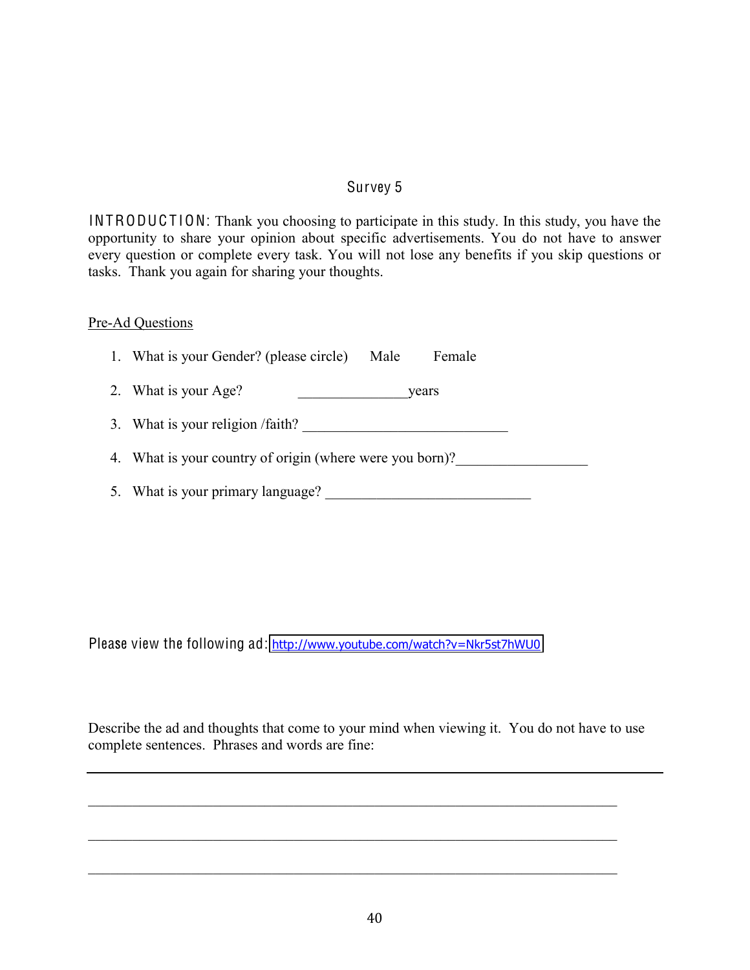# Survey 5

<span id="page-47-0"></span>INTRODUCTION: Thank you choosing to participate in this study. In this study, you have the opportunity to share your opinion about specific advertisements. You do not have to answer every question or complete every task. You will not lose any benefits if you skip questions or tasks. Thank you again for sharing your thoughts.

#### Pre-Ad Questions

| 1. What is your Gender? (please circle)<br>Female<br>Male |  |  |  |  |  |
|-----------------------------------------------------------|--|--|--|--|--|
| 2. What is your Age?<br>vears                             |  |  |  |  |  |
| 3. What is your religion /faith?                          |  |  |  |  |  |
| 4. What is your country of origin (where were you born)?  |  |  |  |  |  |
| 5. What is your primary language?                         |  |  |  |  |  |

Please view the following ad: http://www.youtube.com/watch?v=Nkr5st7hWU0

Describe the ad and thoughts that come to your mind when viewing it. You do not have to use complete sentences. Phrases and words are fine: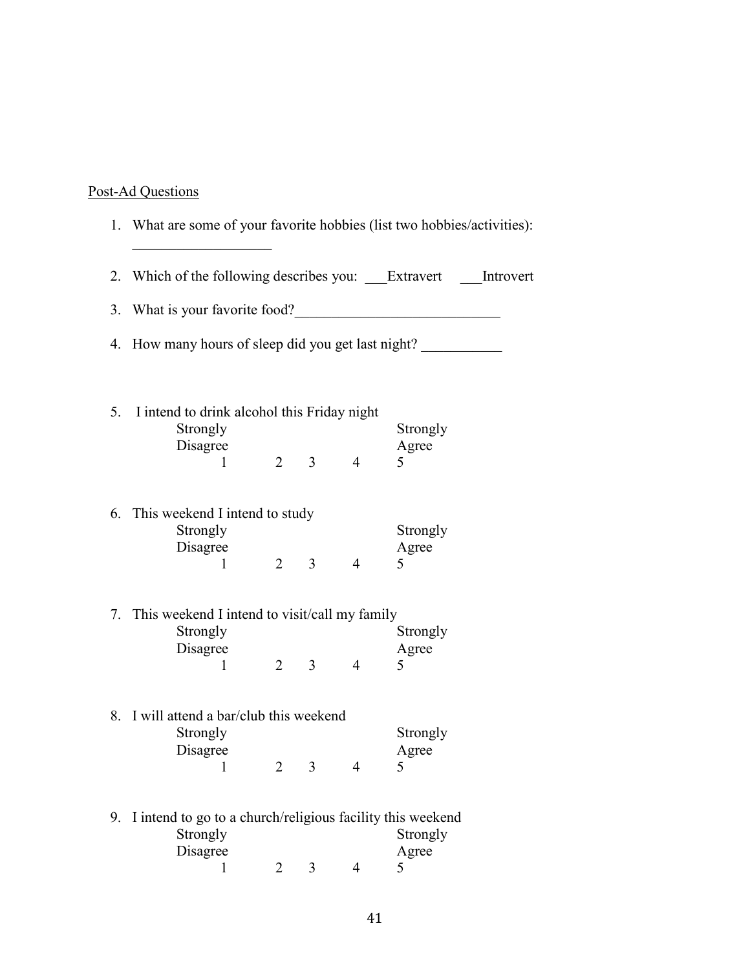# Post-Ad Questions

|    |                                                                                    |   |                     |                | 1. What are some of your favorite hobbies (list two hobbies/activities): |
|----|------------------------------------------------------------------------------------|---|---------------------|----------------|--------------------------------------------------------------------------|
|    |                                                                                    |   |                     |                | 2. Which of the following describes you: ___Extravert ____Introvert      |
|    | 3. What is your favorite food?                                                     |   |                     |                |                                                                          |
|    | 4. How many hours of sleep did you get last night?                                 |   |                     |                |                                                                          |
| 5. | I intend to drink alcohol this Friday night<br>Strongly<br>Disagree                |   |                     |                | Strongly<br>Agree                                                        |
|    | 1                                                                                  |   | $2 \quad 3 \quad 4$ |                | 5                                                                        |
|    | 6. This weekend I intend to study<br>Strongly<br>Disagree<br>1                     |   | $2 \quad 3$         | $\overline{4}$ | Strongly<br>Agree<br>5                                                   |
|    | 7. This weekend I intend to visit/call my family<br>Strongly                       |   |                     |                | Strongly                                                                 |
|    | Disagree<br>1                                                                      |   | $2 \quad 3$         | $\overline{4}$ | Agree<br>5                                                               |
|    | 8. I will attend a bar/club this weekend<br>Strongly                               |   |                     |                | Strongly                                                                 |
|    | Disagree                                                                           | 2 | 3                   | $\overline{4}$ | Agree<br>5                                                               |
| 9. | I intend to go to a church/religious facility this weekend<br>Strongly<br>Disagree |   |                     |                | Strongly<br>Agree                                                        |
|    | 1                                                                                  | 2 | 3                   | $\overline{4}$ | 5                                                                        |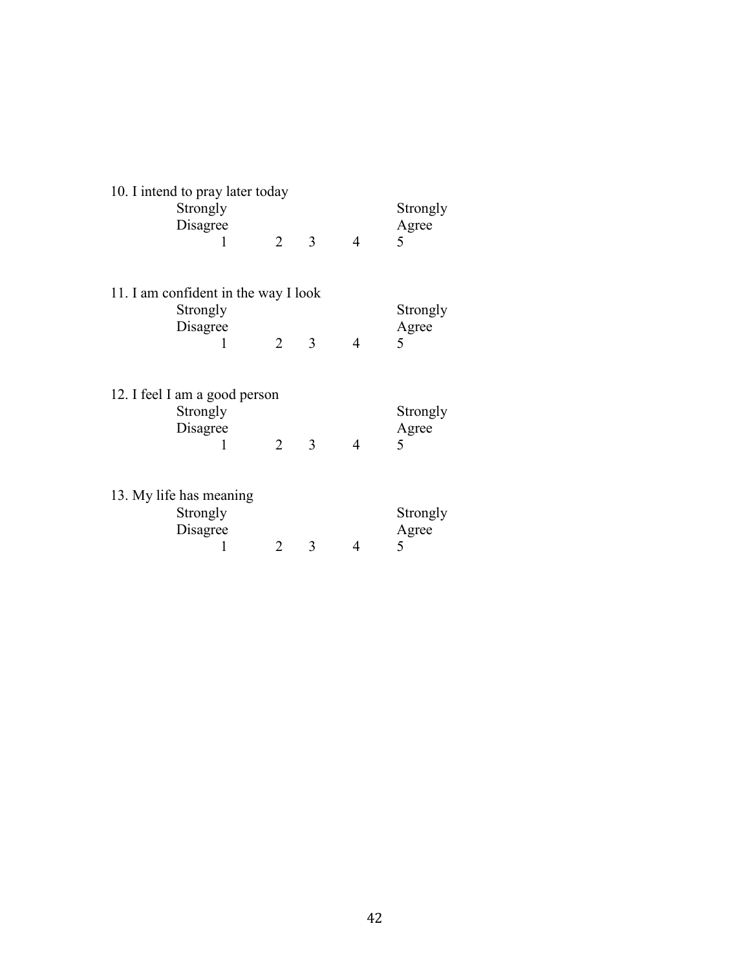| 10. I intend to pray later today<br>Strongly<br>Disagree<br>1 | $\overline{2}$              | 3 | $\overline{4}$ | Strongly<br>Agree<br>5 |
|---------------------------------------------------------------|-----------------------------|---|----------------|------------------------|
| 11. I am confident in the way I look                          |                             |   |                |                        |
| Strongly                                                      |                             |   |                | Strongly               |
| Disagree                                                      |                             |   |                | Agree                  |
| 1                                                             | $\mathcal{D}_{\mathcal{L}}$ | 3 | 4              | 5                      |
|                                                               |                             |   |                |                        |
| 12. I feel I am a good person                                 |                             |   |                |                        |
| Strongly                                                      |                             |   |                | Strongly               |
| Disagree                                                      |                             |   |                | Agree                  |
| 1                                                             | $\overline{2}$              | 3 | 4              | 5                      |
|                                                               |                             |   |                |                        |
| 13. My life has meaning                                       |                             |   |                |                        |
| Strongly                                                      |                             |   |                | Strongly               |
| Disagree                                                      |                             |   |                | Agree                  |
|                                                               | 2                           | 3 | 4              | 5                      |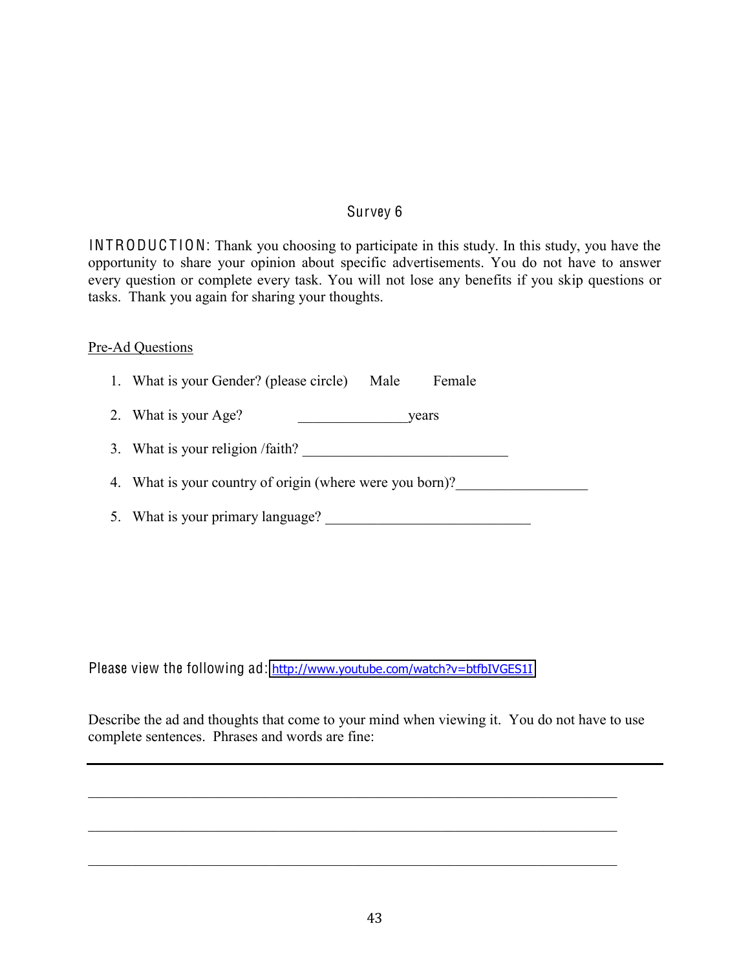#### Survey 6

<span id="page-50-0"></span>INTRODUCTION: Thank you choosing to participate in this study. In this study, you have the opportunity to share your opinion about specific advertisements. You do not have to answer every question or complete every task. You will not lose any benefits if you skip questions or tasks. Thank you again for sharing your thoughts.

#### Pre-Ad Questions

1. What is your Gender? (please circle) Male Female

- 2. What is your Age? \_\_\_\_\_\_\_\_\_\_\_\_\_\_\_years
- 3. What is your religion /faith?  $\overline{\phantom{a}}$

4. What is your country of origin (where were you born)?

5. What is your primary language?

Please view the following ad: http://www.youtube.com/watch?v=btfbIVGES1I

Describe the ad and thoughts that come to your mind when viewing it. You do not have to use complete sentences. Phrases and words are fine:

 $\mathcal{L}_\text{max} = \mathcal{L}_\text{max} = \mathcal{L}_\text{max} = \mathcal{L}_\text{max} = \mathcal{L}_\text{max} = \mathcal{L}_\text{max} = \mathcal{L}_\text{max} = \mathcal{L}_\text{max} = \mathcal{L}_\text{max} = \mathcal{L}_\text{max} = \mathcal{L}_\text{max} = \mathcal{L}_\text{max} = \mathcal{L}_\text{max} = \mathcal{L}_\text{max} = \mathcal{L}_\text{max} = \mathcal{L}_\text{max} = \mathcal{L}_\text{max} = \mathcal{L}_\text{max} = \mathcal{$ 

 $\mathcal{L}_\text{max}$  , and the contribution of the contribution of the contribution of the contribution of the contribution of the contribution of the contribution of the contribution of the contribution of the contribution of t

 $\mathcal{L}_\mathcal{L} = \{ \mathcal{L}_\mathcal{L} = \{ \mathcal{L}_\mathcal{L} = \{ \mathcal{L}_\mathcal{L} = \{ \mathcal{L}_\mathcal{L} = \{ \mathcal{L}_\mathcal{L} = \{ \mathcal{L}_\mathcal{L} = \{ \mathcal{L}_\mathcal{L} = \{ \mathcal{L}_\mathcal{L} = \{ \mathcal{L}_\mathcal{L} = \{ \mathcal{L}_\mathcal{L} = \{ \mathcal{L}_\mathcal{L} = \{ \mathcal{L}_\mathcal{L} = \{ \mathcal{L}_\mathcal{L} = \{ \mathcal{L}_\mathcal{$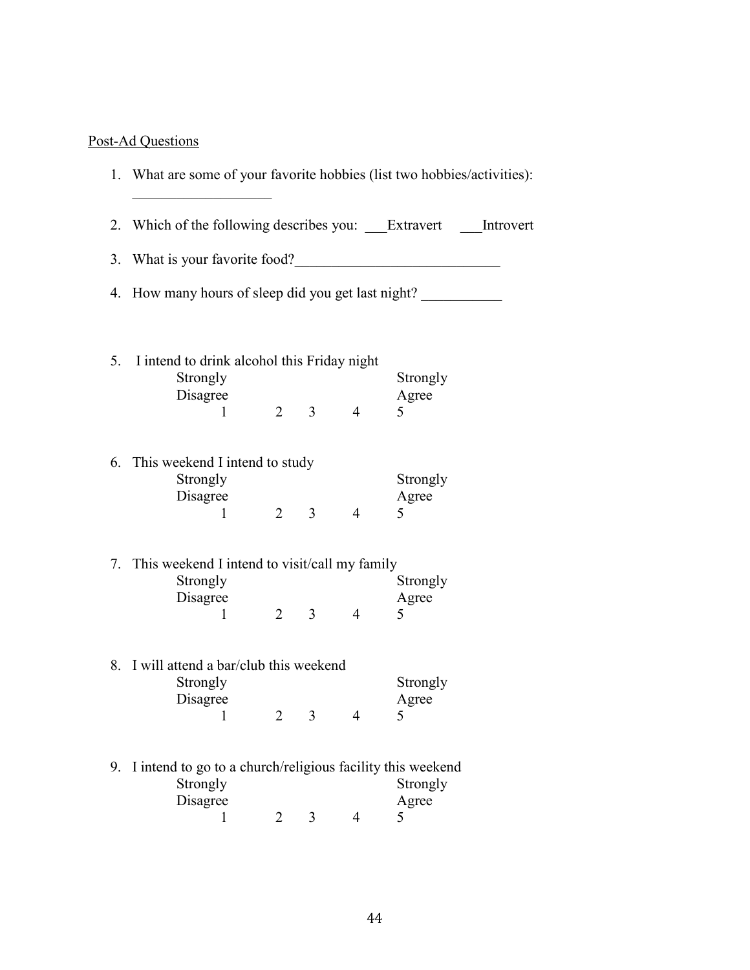# Post-Ad Questions

|    |                                                                          |                |                |                | 2. Which of the following describes you: Extravert Introvert |  |  |  |  |  |
|----|--------------------------------------------------------------------------|----------------|----------------|----------------|--------------------------------------------------------------|--|--|--|--|--|
|    | 3. What is your favorite food?                                           |                |                |                |                                                              |  |  |  |  |  |
|    |                                                                          |                |                |                | 4. How many hours of sleep did you get last night?           |  |  |  |  |  |
| 5. | I intend to drink alcohol this Friday night<br>Strongly<br>Disagree      |                |                |                | Strongly<br>Agree                                            |  |  |  |  |  |
|    | 1                                                                        | $\overline{2}$ | 3 <sup>1</sup> | $\overline{4}$ | 5                                                            |  |  |  |  |  |
|    | 6. This weekend I intend to study<br>Strongly<br>Disagree<br>1           | $\overline{2}$ | 3 <sup>7</sup> | $\overline{4}$ | Strongly<br>Agree<br>5                                       |  |  |  |  |  |
|    |                                                                          |                |                |                |                                                              |  |  |  |  |  |
|    | 7. This weekend I intend to visit/call my family<br>Strongly<br>Disagree |                |                |                | Strongly<br>Agree                                            |  |  |  |  |  |
|    | 1                                                                        | $\overline{2}$ | 3 <sup>1</sup> | $\overline{4}$ | 5                                                            |  |  |  |  |  |
|    | 8. I will attend a bar/club this weekend<br>Strongly                     |                |                |                | Strongly                                                     |  |  |  |  |  |
|    | Disagree<br>1                                                            | 2              | 3              | $\overline{4}$ | Agree<br>5                                                   |  |  |  |  |  |
|    | 9. I intend to go to a church/religious facility this weekend            |                |                |                |                                                              |  |  |  |  |  |
|    | Strongly<br>Disagree                                                     | 2              | 3              | 4              | Strongly<br>Agree<br>5                                       |  |  |  |  |  |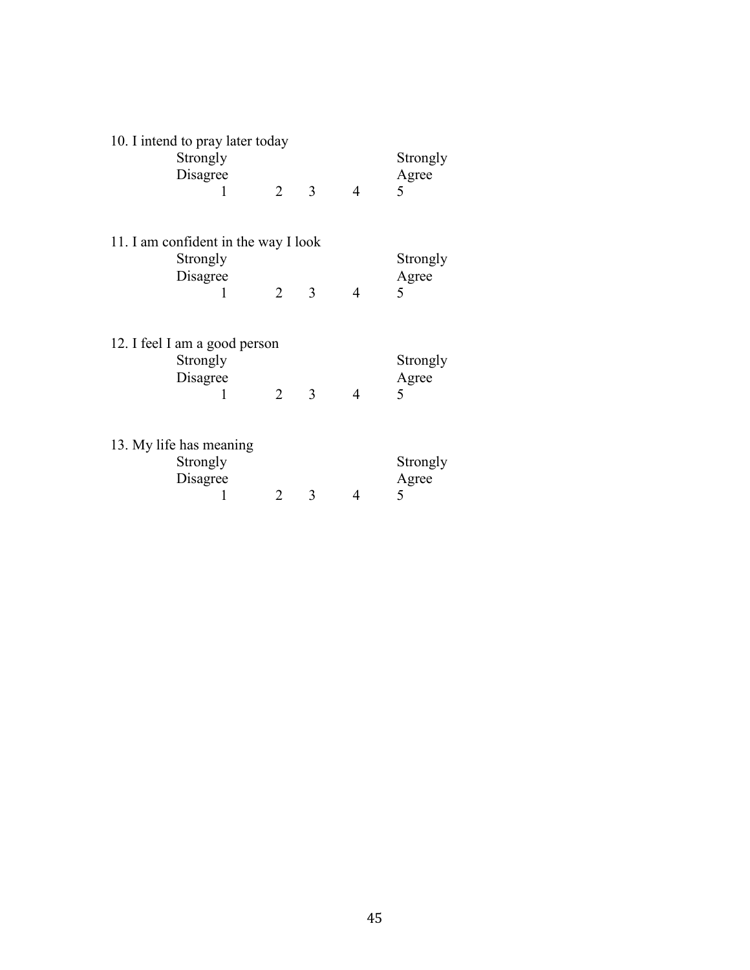| 10. I intend to pray later today     | Strongly<br>Disagree |                |   |                | Strongly<br>Agree |  |  |  |  |
|--------------------------------------|----------------------|----------------|---|----------------|-------------------|--|--|--|--|
|                                      | 1                    | $\overline{2}$ | 3 | $\overline{4}$ | 5                 |  |  |  |  |
|                                      |                      |                |   |                |                   |  |  |  |  |
| 11. I am confident in the way I look |                      |                |   |                |                   |  |  |  |  |
|                                      | Strongly<br>Disagree |                |   |                | Strongly<br>Agree |  |  |  |  |
|                                      | 1                    | $\overline{2}$ | 3 | $\overline{4}$ | 5                 |  |  |  |  |
|                                      |                      |                |   |                |                   |  |  |  |  |
| 12. I feel I am a good person        |                      |                |   |                |                   |  |  |  |  |
|                                      | Strongly             |                |   |                | Strongly          |  |  |  |  |
|                                      | Disagree             |                |   |                | Agree             |  |  |  |  |
|                                      | 1                    | 2              | 3 | 4              | 5                 |  |  |  |  |
|                                      |                      |                |   |                |                   |  |  |  |  |
| 13. My life has meaning              |                      |                |   |                |                   |  |  |  |  |
|                                      | Strongly             |                |   |                | Strongly          |  |  |  |  |
|                                      | Disagree             |                |   |                | Agree             |  |  |  |  |
|                                      |                      | 2              | 3 | 4              | 5                 |  |  |  |  |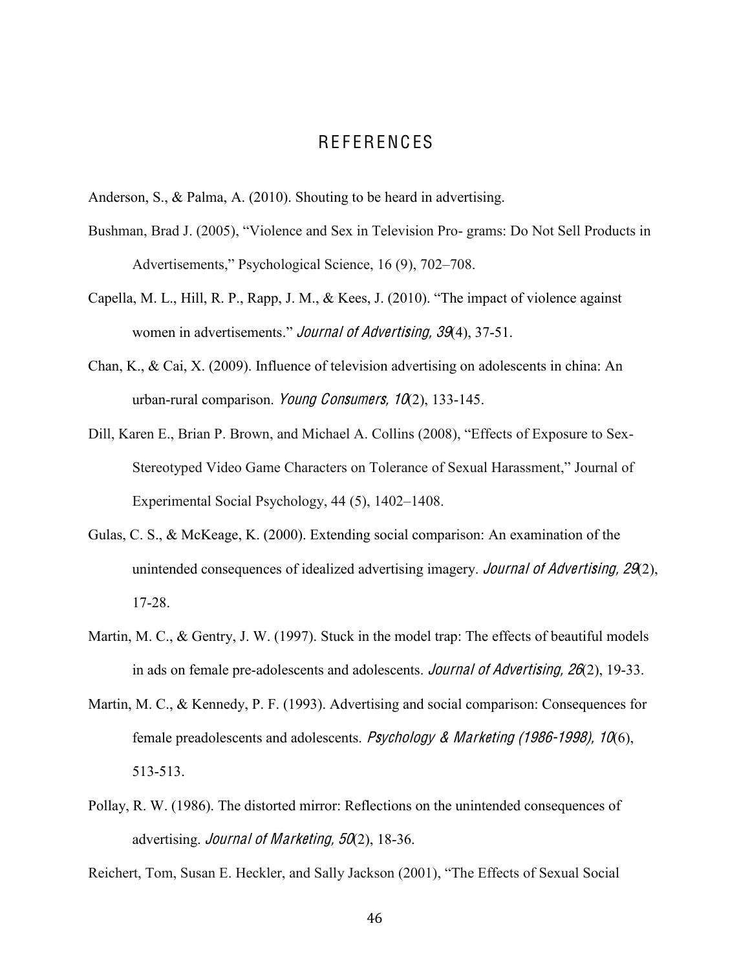# **REFERENCES**

- <span id="page-53-0"></span>Anderson, S., & Palma, A. (2010). Shouting to be heard in advertising.
- Bushman, Brad J. (2005), "Violence and Sex in Television Pro- grams: Do Not Sell Products in Advertisements," Psychological Science, 16 (9), 702–708.
- Capella, M. L., Hill, R. P., Rapp, J. M., & Kees, J. (2010). "The impact of violence against women in advertisements." Journal of Advertising, 39(4), 37-51.
- Chan, K., & Cai, X. (2009). Influence of television advertising on adolescents in china: An urban-rural comparison. Young Consumers,  $10(2)$ , 133-145.
- Dill, Karen E., Brian P. Brown, and Michael A. Collins (2008), "Effects of Exposure to Sex-Stereotyped Video Game Characters on Tolerance of Sexual Harassment," Journal of Experimental Social Psychology,  $44$  (5),  $1402-1408$ .
- Gulas, C. S., & McKeage, K. (2000). Extending social comparison: An examination of the unintended consequences of idealized advertising imagery. *Journal of Advertising, 29*(2), 17-28.
- Martin, M. C., & Gentry, J. W. (1997). Stuck in the model trap: The effects of beautiful models in ads on female pre-adolescents and adolescents. *Journal of Advertising, 26*(2), 19-33.
- Martin, M. C., & Kennedy, P. F. (1993). Advertising and social comparison: Consequences for female preadolescents and adolescents. Psychology & Marketing (1986-1998), 10(6), 513-513.
- Pollay, R. W. (1986). The distorted mirror: Reflections on the unintended consequences of advertising. Journal of Marketing, 50(2), 18-36.

Reichert, Tom, Susan E. Heckler, and Sally Jackson (2001), "The Effects of Sexual Social